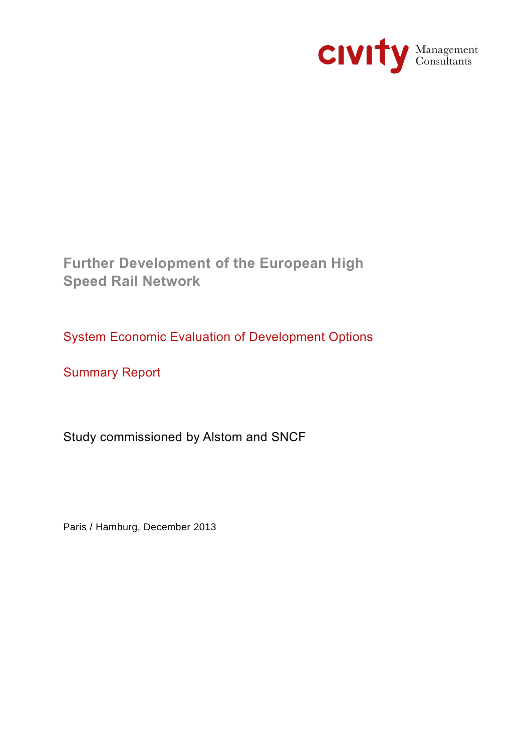

**Further Development of the European High Speed Rail Network**

System Economic Evaluation of Development Options

Summary Report

Study commissioned by Alstom and SNCF

Paris / Hamburg, December 2013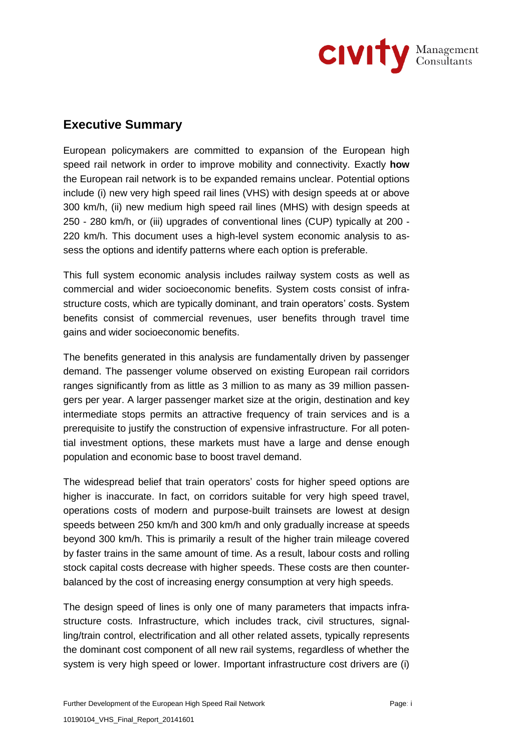

## **Executive Summary**

European policymakers are committed to expansion of the European high speed rail network in order to improve mobility and connectivity. Exactly **how** the European rail network is to be expanded remains unclear. Potential options include (i) new very high speed rail lines (VHS) with design speeds at or above 300 km/h, (ii) new medium high speed rail lines (MHS) with design speeds at 250 - 280 km/h, or (iii) upgrades of conventional lines (CUP) typically at 200 - 220 km/h. This document uses a high-level system economic analysis to assess the options and identify patterns where each option is preferable.

This full system economic analysis includes railway system costs as well as commercial and wider socioeconomic benefits. System costs consist of infrastructure costs, which are typically dominant, and train operators' costs. System benefits consist of commercial revenues, user benefits through travel time gains and wider socioeconomic benefits.

The benefits generated in this analysis are fundamentally driven by passenger demand. The passenger volume observed on existing European rail corridors ranges significantly from as little as 3 million to as many as 39 million passengers per year. A larger passenger market size at the origin, destination and key intermediate stops permits an attractive frequency of train services and is a prerequisite to justify the construction of expensive infrastructure. For all potential investment options, these markets must have a large and dense enough population and economic base to boost travel demand.

The widespread belief that train operators' costs for higher speed options are higher is inaccurate. In fact, on corridors suitable for very high speed travel, operations costs of modern and purpose-built trainsets are lowest at design speeds between 250 km/h and 300 km/h and only gradually increase at speeds beyond 300 km/h. This is primarily a result of the higher train mileage covered by faster trains in the same amount of time. As a result, labour costs and rolling stock capital costs decrease with higher speeds. These costs are then counterbalanced by the cost of increasing energy consumption at very high speeds.

The design speed of lines is only one of many parameters that impacts infrastructure costs. Infrastructure, which includes track, civil structures, signalling/train control, electrification and all other related assets, typically represents the dominant cost component of all new rail systems, regardless of whether the system is very high speed or lower. Important infrastructure cost drivers are (i)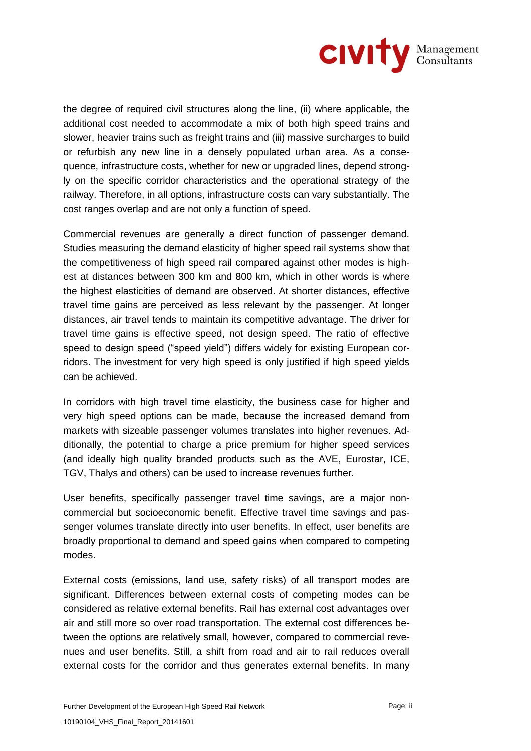

the degree of required civil structures along the line, (ii) where applicable, the additional cost needed to accommodate a mix of both high speed trains and slower, heavier trains such as freight trains and (iii) massive surcharges to build or refurbish any new line in a densely populated urban area. As a consequence, infrastructure costs, whether for new or upgraded lines, depend strongly on the specific corridor characteristics and the operational strategy of the railway. Therefore, in all options, infrastructure costs can vary substantially. The cost ranges overlap and are not only a function of speed.

Commercial revenues are generally a direct function of passenger demand. Studies measuring the demand elasticity of higher speed rail systems show that the competitiveness of high speed rail compared against other modes is highest at distances between 300 km and 800 km, which in other words is where the highest elasticities of demand are observed. At shorter distances, effective travel time gains are perceived as less relevant by the passenger. At longer distances, air travel tends to maintain its competitive advantage. The driver for travel time gains is effective speed, not design speed. The ratio of effective speed to design speed ("speed yield") differs widely for existing European corridors. The investment for very high speed is only justified if high speed yields can be achieved.

In corridors with high travel time elasticity, the business case for higher and very high speed options can be made, because the increased demand from markets with sizeable passenger volumes translates into higher revenues. Additionally, the potential to charge a price premium for higher speed services (and ideally high quality branded products such as the AVE, Eurostar, ICE, TGV, Thalys and others) can be used to increase revenues further.

User benefits, specifically passenger travel time savings, are a major noncommercial but socioeconomic benefit. Effective travel time savings and passenger volumes translate directly into user benefits. In effect, user benefits are broadly proportional to demand and speed gains when compared to competing modes.

External costs (emissions, land use, safety risks) of all transport modes are significant. Differences between external costs of competing modes can be considered as relative external benefits. Rail has external cost advantages over air and still more so over road transportation. The external cost differences between the options are relatively small, however, compared to commercial revenues and user benefits. Still, a shift from road and air to rail reduces overall external costs for the corridor and thus generates external benefits. In many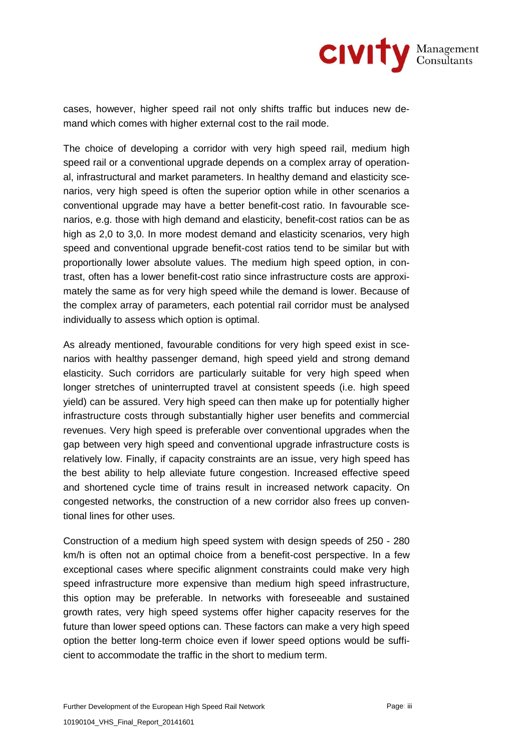

cases, however, higher speed rail not only shifts traffic but induces new demand which comes with higher external cost to the rail mode.

The choice of developing a corridor with very high speed rail, medium high speed rail or a conventional upgrade depends on a complex array of operational, infrastructural and market parameters. In healthy demand and elasticity scenarios, very high speed is often the superior option while in other scenarios a conventional upgrade may have a better benefit-cost ratio. In favourable scenarios, e.g. those with high demand and elasticity, benefit-cost ratios can be as high as 2,0 to 3,0. In more modest demand and elasticity scenarios, very high speed and conventional upgrade benefit-cost ratios tend to be similar but with proportionally lower absolute values. The medium high speed option, in contrast, often has a lower benefit-cost ratio since infrastructure costs are approximately the same as for very high speed while the demand is lower. Because of the complex array of parameters, each potential rail corridor must be analysed individually to assess which option is optimal.

As already mentioned, favourable conditions for very high speed exist in scenarios with healthy passenger demand, high speed yield and strong demand elasticity. Such corridors are particularly suitable for very high speed when longer stretches of uninterrupted travel at consistent speeds (i.e. high speed yield) can be assured. Very high speed can then make up for potentially higher infrastructure costs through substantially higher user benefits and commercial revenues. Very high speed is preferable over conventional upgrades when the gap between very high speed and conventional upgrade infrastructure costs is relatively low. Finally, if capacity constraints are an issue, very high speed has the best ability to help alleviate future congestion. Increased effective speed and shortened cycle time of trains result in increased network capacity. On congested networks, the construction of a new corridor also frees up conventional lines for other uses.

Construction of a medium high speed system with design speeds of 250 - 280 km/h is often not an optimal choice from a benefit-cost perspective. In a few exceptional cases where specific alignment constraints could make very high speed infrastructure more expensive than medium high speed infrastructure, this option may be preferable. In networks with foreseeable and sustained growth rates, very high speed systems offer higher capacity reserves for the future than lower speed options can. These factors can make a very high speed option the better long-term choice even if lower speed options would be sufficient to accommodate the traffic in the short to medium term.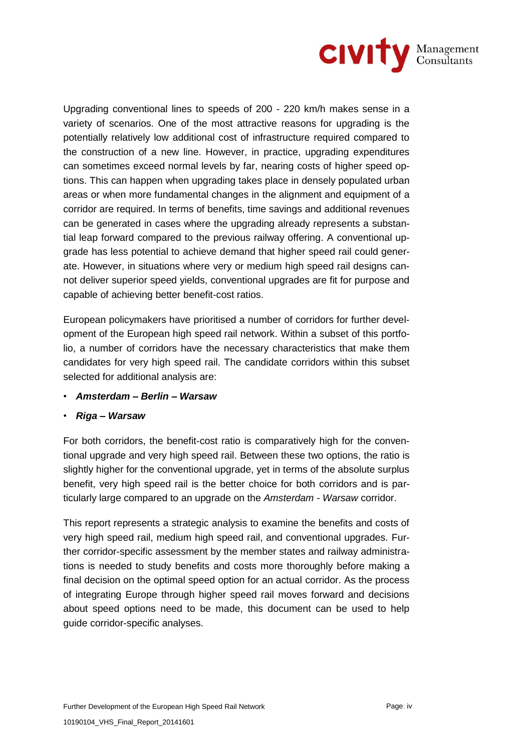

Upgrading conventional lines to speeds of 200 - 220 km/h makes sense in a variety of scenarios. One of the most attractive reasons for upgrading is the potentially relatively low additional cost of infrastructure required compared to the construction of a new line. However, in practice, upgrading expenditures can sometimes exceed normal levels by far, nearing costs of higher speed options. This can happen when upgrading takes place in densely populated urban areas or when more fundamental changes in the alignment and equipment of a corridor are required. In terms of benefits, time savings and additional revenues can be generated in cases where the upgrading already represents a substantial leap forward compared to the previous railway offering. A conventional upgrade has less potential to achieve demand that higher speed rail could generate. However, in situations where very or medium high speed rail designs cannot deliver superior speed yields, conventional upgrades are fit for purpose and capable of achieving better benefit-cost ratios.

European policymakers have prioritised a number of corridors for further development of the European high speed rail network. Within a subset of this portfolio, a number of corridors have the necessary characteristics that make them candidates for very high speed rail. The candidate corridors within this subset selected for additional analysis are:

- *Amsterdam – Berlin – Warsaw*
- *Riga – Warsaw*

For both corridors, the benefit-cost ratio is comparatively high for the conventional upgrade and very high speed rail. Between these two options, the ratio is slightly higher for the conventional upgrade, yet in terms of the absolute surplus benefit, very high speed rail is the better choice for both corridors and is particularly large compared to an upgrade on the *Amsterdam - Warsaw* corridor.

This report represents a strategic analysis to examine the benefits and costs of very high speed rail, medium high speed rail, and conventional upgrades. Further corridor-specific assessment by the member states and railway administrations is needed to study benefits and costs more thoroughly before making a final decision on the optimal speed option for an actual corridor. As the process of integrating Europe through higher speed rail moves forward and decisions about speed options need to be made, this document can be used to help guide corridor-specific analyses.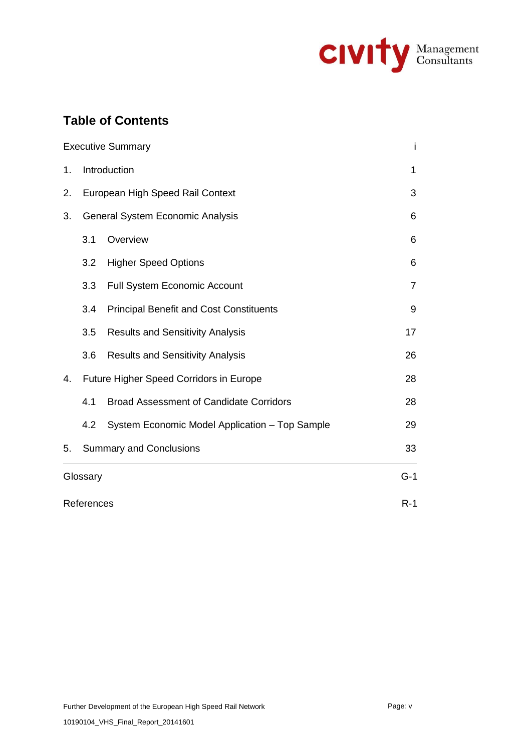

# **Table of Contents**

|            |                                         | <b>Executive Summary</b>                       | i              |
|------------|-----------------------------------------|------------------------------------------------|----------------|
| 1.         | Introduction                            | 1                                              |                |
| 2.         | European High Speed Rail Context        | 3                                              |                |
| 3.         | General System Economic Analysis        | 6                                              |                |
|            | 3.1                                     | Overview                                       | 6              |
|            | 3.2                                     | <b>Higher Speed Options</b>                    | 6              |
|            | 3.3                                     | <b>Full System Economic Account</b>            | $\overline{7}$ |
|            | 3.4                                     | <b>Principal Benefit and Cost Constituents</b> | 9              |
|            | 3.5                                     | <b>Results and Sensitivity Analysis</b>        | 17             |
|            | 3.6                                     | <b>Results and Sensitivity Analysis</b>        | 26             |
| 4.         | Future Higher Speed Corridors in Europe | 28                                             |                |
|            | 4.1                                     | <b>Broad Assessment of Candidate Corridors</b> | 28             |
|            | 4.2                                     | System Economic Model Application - Top Sample | 29             |
| 5.         | <b>Summary and Conclusions</b>          | 33                                             |                |
| Glossary   | $G-1$                                   |                                                |                |
| References | $R-1$                                   |                                                |                |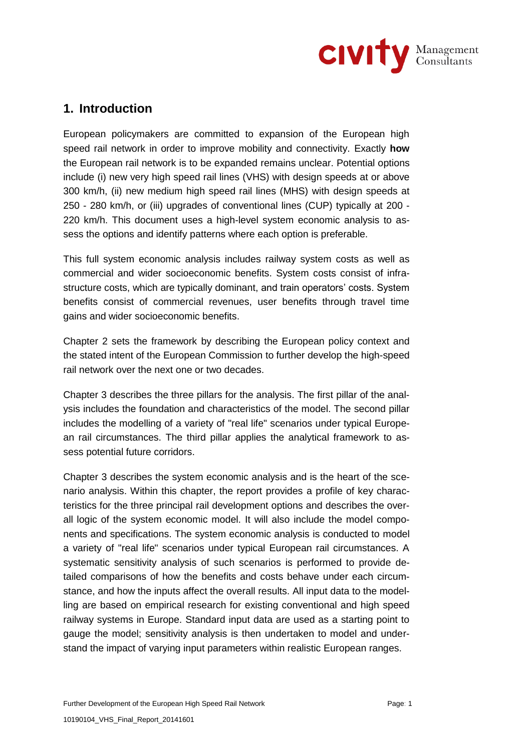

# **1. Introduction**

European policymakers are committed to expansion of the European high speed rail network in order to improve mobility and connectivity. Exactly **how** the European rail network is to be expanded remains unclear. Potential options include (i) new very high speed rail lines (VHS) with design speeds at or above 300 km/h, (ii) new medium high speed rail lines (MHS) with design speeds at 250 - 280 km/h, or (iii) upgrades of conventional lines (CUP) typically at 200 - 220 km/h. This document uses a high-level system economic analysis to assess the options and identify patterns where each option is preferable.

This full system economic analysis includes railway system costs as well as commercial and wider socioeconomic benefits. System costs consist of infrastructure costs, which are typically dominant, and train operators' costs. System benefits consist of commercial revenues, user benefits through travel time gains and wider socioeconomic benefits.

Chapter 2 sets the framework by describing the European policy context and the stated intent of the European Commission to further develop the high-speed rail network over the next one or two decades.

Chapter 3 describes the three pillars for the analysis. The first pillar of the analysis includes the foundation and characteristics of the model. The second pillar includes the modelling of a variety of "real life" scenarios under typical European rail circumstances. The third pillar applies the analytical framework to assess potential future corridors.

Chapter 3 describes the system economic analysis and is the heart of the scenario analysis. Within this chapter, the report provides a profile of key characteristics for the three principal rail development options and describes the overall logic of the system economic model. It will also include the model components and specifications. The system economic analysis is conducted to model a variety of "real life" scenarios under typical European rail circumstances. A systematic sensitivity analysis of such scenarios is performed to provide detailed comparisons of how the benefits and costs behave under each circumstance, and how the inputs affect the overall results. All input data to the modelling are based on empirical research for existing conventional and high speed railway systems in Europe. Standard input data are used as a starting point to gauge the model; sensitivity analysis is then undertaken to model and understand the impact of varying input parameters within realistic European ranges.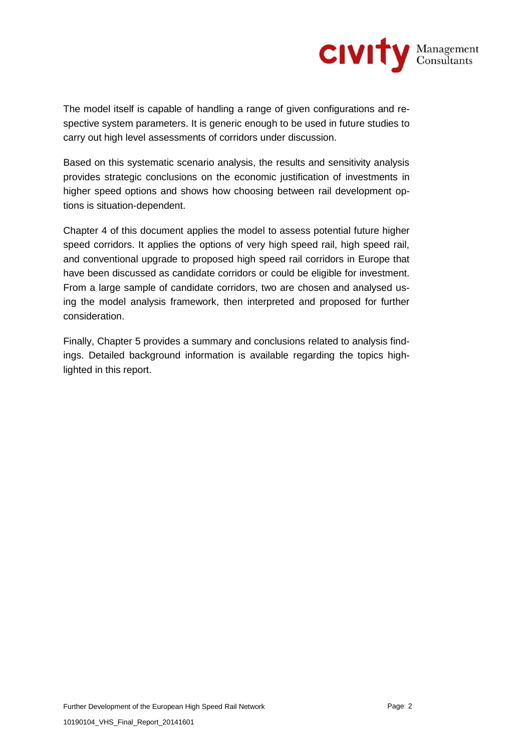

The model itself is capable of handling a range of given configurations and respective system parameters. It is generic enough to be used in future studies to carry out high level assessments of corridors under discussion.

Based on this systematic scenario analysis, the results and sensitivity analysis provides strategic conclusions on the economic justification of investments in higher speed options and shows how choosing between rail development options is situation-dependent.

Chapter 4 of this document applies the model to assess potential future higher speed corridors. It applies the options of very high speed rail, high speed rail, and conventional upgrade to proposed high speed rail corridors in Europe that have been discussed as candidate corridors or could be eligible for investment. From a large sample of candidate corridors, two are chosen and analysed using the model analysis framework, then interpreted and proposed for further consideration.

Finally, Chapter 5 provides a summary and conclusions related to analysis findings. Detailed background information is available regarding the topics highlighted in this report.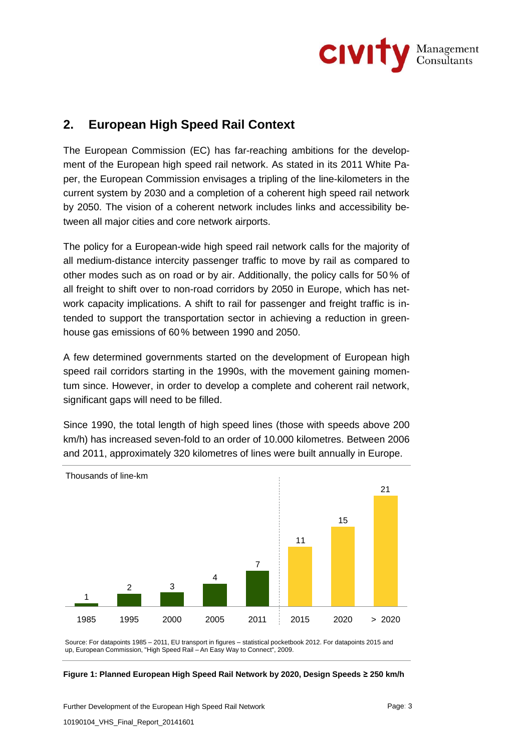

# **2. European High Speed Rail Context**

The European Commission (EC) has far-reaching ambitions for the development of the European high speed rail network. As stated in its 2011 White Paper, the European Commission envisages a tripling of the line-kilometers in the current system by 2030 and a completion of a coherent high speed rail network by 2050. The vision of a coherent network includes links and accessibility between all major cities and core network airports.

The policy for a European-wide high speed rail network calls for the majority of all medium-distance intercity passenger traffic to move by rail as compared to other modes such as on road or by air. Additionally, the policy calls for 50 % of all freight to shift over to non-road corridors by 2050 in Europe, which has network capacity implications. A shift to rail for passenger and freight traffic is intended to support the transportation sector in achieving a reduction in greenhouse gas emissions of 60% between 1990 and 2050.

A few determined governments started on the development of European high speed rail corridors starting in the 1990s, with the movement gaining momentum since. However, in order to develop a complete and coherent rail network, significant gaps will need to be filled.

Since 1990, the total length of high speed lines (those with speeds above 200 km/h) has increased seven-fold to an order of 10.000 kilometres. Between 2006 and 2011, approximately 320 kilometres of lines were built annually in Europe.



Source: For datapoints 1985 – 2011, EU transport in figures – statistical pocketbook 2012. For datapoints 2015 and up, European Commission, "High Speed Rail – An Easy Way to Connect", 2009.

#### **Figure 1: Planned European High Speed Rail Network by 2020, Design Speeds ≥ 250 km/h**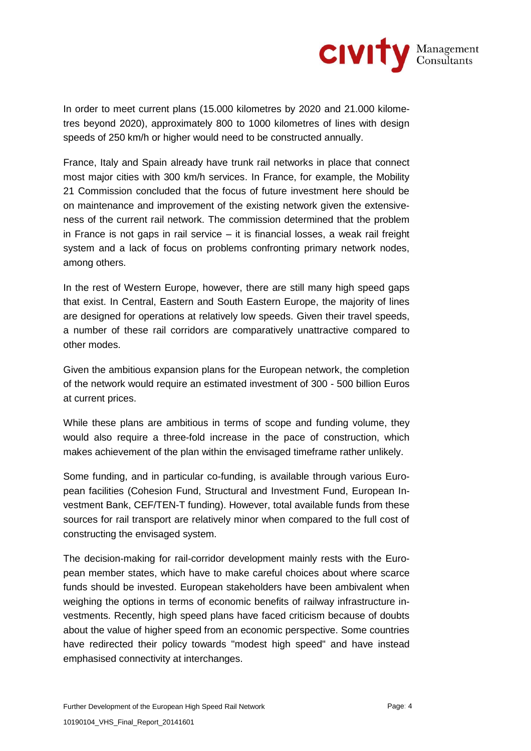

In order to meet current plans (15.000 kilometres by 2020 and 21.000 kilometres beyond 2020), approximately 800 to 1000 kilometres of lines with design speeds of 250 km/h or higher would need to be constructed annually.

France, Italy and Spain already have trunk rail networks in place that connect most major cities with 300 km/h services. In France, for example, the Mobility 21 Commission concluded that the focus of future investment here should be on maintenance and improvement of the existing network given the extensiveness of the current rail network. The commission determined that the problem in France is not gaps in rail service  $-$  it is financial losses, a weak rail freight system and a lack of focus on problems confronting primary network nodes, among others.

In the rest of Western Europe, however, there are still many high speed gaps that exist. In Central, Eastern and South Eastern Europe, the majority of lines are designed for operations at relatively low speeds. Given their travel speeds, a number of these rail corridors are comparatively unattractive compared to other modes.

Given the ambitious expansion plans for the European network, the completion of the network would require an estimated investment of 300 - 500 billion Euros at current prices.

While these plans are ambitious in terms of scope and funding volume, they would also require a three-fold increase in the pace of construction, which makes achievement of the plan within the envisaged timeframe rather unlikely.

Some funding, and in particular co-funding, is available through various European facilities (Cohesion Fund, Structural and Investment Fund, European Investment Bank, CEF/TEN-T funding). However, total available funds from these sources for rail transport are relatively minor when compared to the full cost of constructing the envisaged system.

The decision-making for rail-corridor development mainly rests with the European member states, which have to make careful choices about where scarce funds should be invested. European stakeholders have been ambivalent when weighing the options in terms of economic benefits of railway infrastructure investments. Recently, high speed plans have faced criticism because of doubts about the value of higher speed from an economic perspective. Some countries have redirected their policy towards "modest high speed" and have instead emphasised connectivity at interchanges.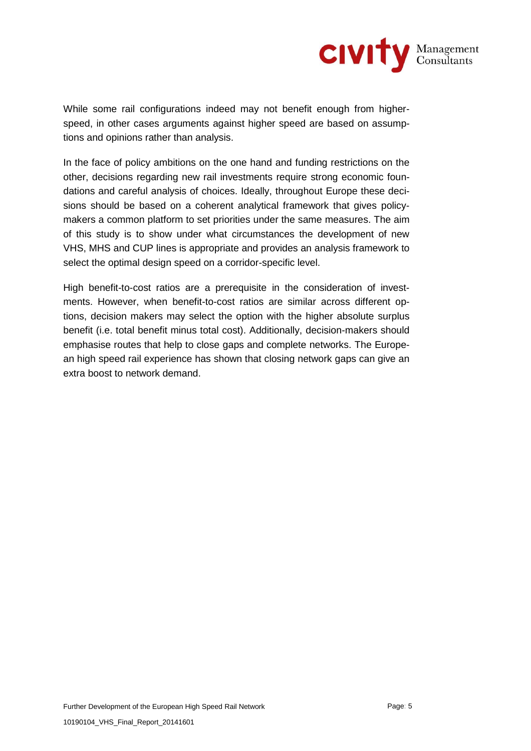

While some rail configurations indeed may not benefit enough from higherspeed, in other cases arguments against higher speed are based on assumptions and opinions rather than analysis.

In the face of policy ambitions on the one hand and funding restrictions on the other, decisions regarding new rail investments require strong economic foundations and careful analysis of choices. Ideally, throughout Europe these decisions should be based on a coherent analytical framework that gives policymakers a common platform to set priorities under the same measures. The aim of this study is to show under what circumstances the development of new VHS, MHS and CUP lines is appropriate and provides an analysis framework to select the optimal design speed on a corridor-specific level.

High benefit-to-cost ratios are a prerequisite in the consideration of investments. However, when benefit-to-cost ratios are similar across different options, decision makers may select the option with the higher absolute surplus benefit (i.e. total benefit minus total cost). Additionally, decision-makers should emphasise routes that help to close gaps and complete networks. The European high speed rail experience has shown that closing network gaps can give an extra boost to network demand.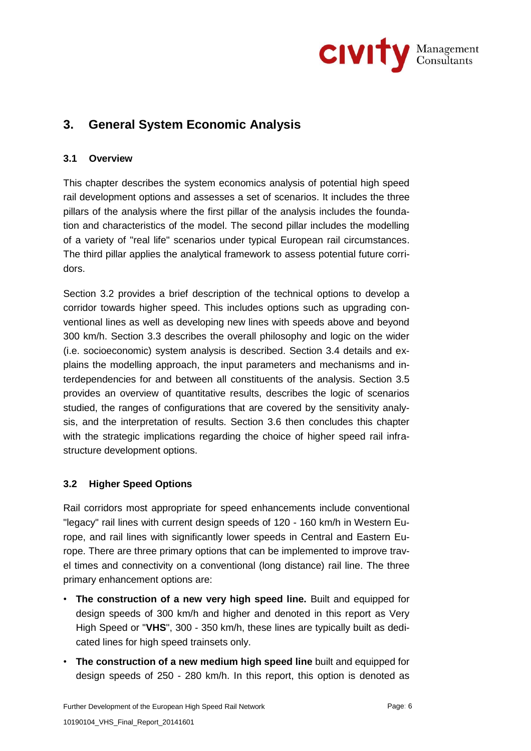

# **3. General System Economic Analysis**

## **3.1 Overview**

This chapter describes the system economics analysis of potential high speed rail development options and assesses a set of scenarios. It includes the three pillars of the analysis where the first pillar of the analysis includes the foundation and characteristics of the model. The second pillar includes the modelling of a variety of "real life" scenarios under typical European rail circumstances. The third pillar applies the analytical framework to assess potential future corridors.

Section 3.2 provides a brief description of the technical options to develop a corridor towards higher speed. This includes options such as upgrading conventional lines as well as developing new lines with speeds above and beyond 300 km/h. Section 3.3 describes the overall philosophy and logic on the wider (i.e. socioeconomic) system analysis is described. Section 3.4 details and explains the modelling approach, the input parameters and mechanisms and interdependencies for and between all constituents of the analysis. Section 3.5 provides an overview of quantitative results, describes the logic of scenarios studied, the ranges of configurations that are covered by the sensitivity analysis, and the interpretation of results. Section 3.6 then concludes this chapter with the strategic implications regarding the choice of higher speed rail infrastructure development options.

## **3.2 Higher Speed Options**

Rail corridors most appropriate for speed enhancements include conventional "legacy" rail lines with current design speeds of 120 - 160 km/h in Western Europe, and rail lines with significantly lower speeds in Central and Eastern Europe. There are three primary options that can be implemented to improve travel times and connectivity on a conventional (long distance) rail line. The three primary enhancement options are:

- **The construction of a new very high speed line.** Built and equipped for design speeds of 300 km/h and higher and denoted in this report as Very High Speed or "**VHS**", 300 - 350 km/h, these lines are typically built as dedicated lines for high speed trainsets only.
- **The construction of a new medium high speed line** built and equipped for design speeds of 250 - 280 km/h. In this report, this option is denoted as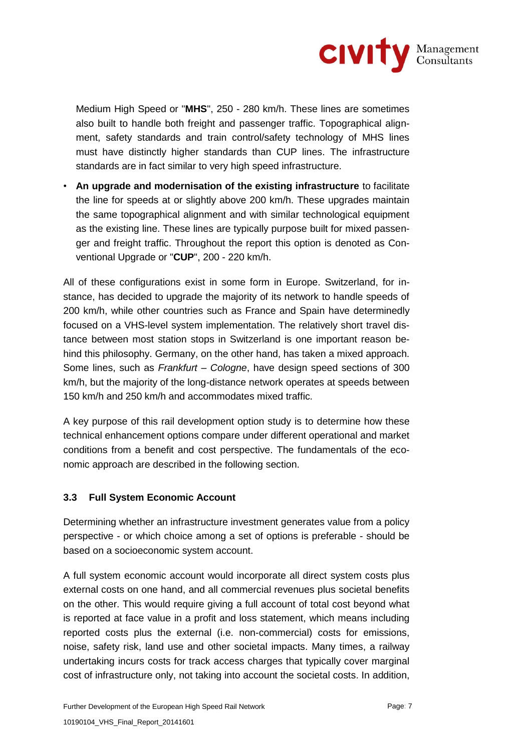

Medium High Speed or "**MHS**", 250 - 280 km/h. These lines are sometimes also built to handle both freight and passenger traffic. Topographical alignment, safety standards and train control/safety technology of MHS lines must have distinctly higher standards than CUP lines. The infrastructure standards are in fact similar to very high speed infrastructure.

• **An upgrade and modernisation of the existing infrastructure** to facilitate the line for speeds at or slightly above 200 km/h. These upgrades maintain the same topographical alignment and with similar technological equipment as the existing line. These lines are typically purpose built for mixed passenger and freight traffic. Throughout the report this option is denoted as Conventional Upgrade or "**CUP**", 200 - 220 km/h.

All of these configurations exist in some form in Europe. Switzerland, for instance, has decided to upgrade the majority of its network to handle speeds of 200 km/h, while other countries such as France and Spain have determinedly focused on a VHS-level system implementation. The relatively short travel distance between most station stops in Switzerland is one important reason behind this philosophy. Germany, on the other hand, has taken a mixed approach. Some lines, such as *Frankfurt – Cologne*, have design speed sections of 300 km/h, but the majority of the long-distance network operates at speeds between 150 km/h and 250 km/h and accommodates mixed traffic.

A key purpose of this rail development option study is to determine how these technical enhancement options compare under different operational and market conditions from a benefit and cost perspective. The fundamentals of the economic approach are described in the following section.

## **3.3 Full System Economic Account**

Determining whether an infrastructure investment generates value from a policy perspective - or which choice among a set of options is preferable - should be based on a socioeconomic system account.

A full system economic account would incorporate all direct system costs plus external costs on one hand, and all commercial revenues plus societal benefits on the other. This would require giving a full account of total cost beyond what is reported at face value in a profit and loss statement, which means including reported costs plus the external (i.e. non-commercial) costs for emissions, noise, safety risk, land use and other societal impacts. Many times, a railway undertaking incurs costs for track access charges that typically cover marginal cost of infrastructure only, not taking into account the societal costs. In addition,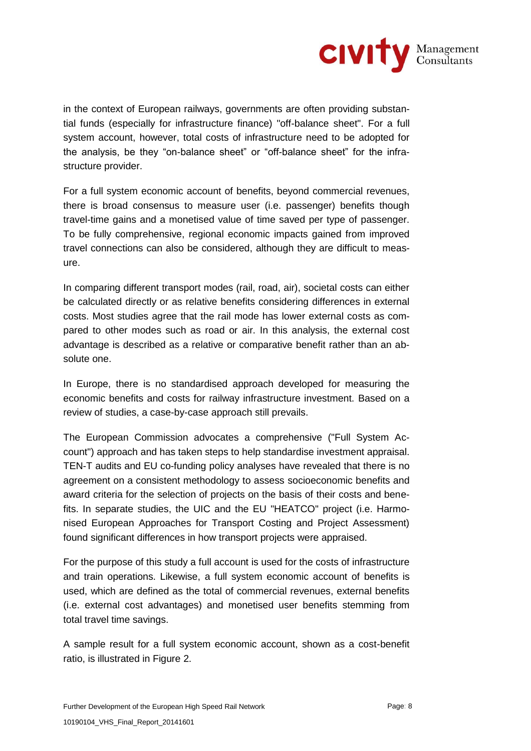

in the context of European railways, governments are often providing substantial funds (especially for infrastructure finance) "off-balance sheet". For a full system account, however, total costs of infrastructure need to be adopted for the analysis, be they "on-balance sheet" or "off-balance sheet" for the infrastructure provider.

For a full system economic account of benefits, beyond commercial revenues, there is broad consensus to measure user (i.e. passenger) benefits though travel-time gains and a monetised value of time saved per type of passenger. To be fully comprehensive, regional economic impacts gained from improved travel connections can also be considered, although they are difficult to measure.

In comparing different transport modes (rail, road, air), societal costs can either be calculated directly or as relative benefits considering differences in external costs. Most studies agree that the rail mode has lower external costs as compared to other modes such as road or air. In this analysis, the external cost advantage is described as a relative or comparative benefit rather than an absolute one.

In Europe, there is no standardised approach developed for measuring the economic benefits and costs for railway infrastructure investment. Based on a review of studies, a case-by-case approach still prevails.

The European Commission advocates a comprehensive ("Full System Account") approach and has taken steps to help standardise investment appraisal. TEN-T audits and EU co-funding policy analyses have revealed that there is no agreement on a consistent methodology to assess socioeconomic benefits and award criteria for the selection of projects on the basis of their costs and benefits. In separate studies, the UIC and the EU "HEATCO" project (i.e. Harmonised European Approaches for Transport Costing and Project Assessment) found significant differences in how transport projects were appraised.

For the purpose of this study a full account is used for the costs of infrastructure and train operations. Likewise, a full system economic account of benefits is used, which are defined as the total of commercial revenues, external benefits (i.e. external cost advantages) and monetised user benefits stemming from total travel time savings.

A sample result for a full system economic account, shown as a cost-benefit ratio, is illustrated in Figure 2.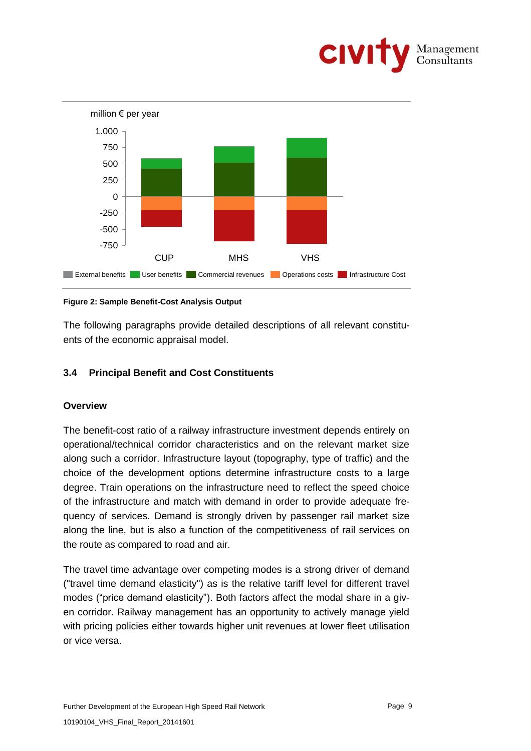



#### **Figure 2: Sample Benefit-Cost Analysis Output**

The following paragraphs provide detailed descriptions of all relevant constituents of the economic appraisal model.

## **3.4 Principal Benefit and Cost Constituents**

## **Overview**

The benefit-cost ratio of a railway infrastructure investment depends entirely on operational/technical corridor characteristics and on the relevant market size along such a corridor. Infrastructure layout (topography, type of traffic) and the choice of the development options determine infrastructure costs to a large degree. Train operations on the infrastructure need to reflect the speed choice of the infrastructure and match with demand in order to provide adequate frequency of services. Demand is strongly driven by passenger rail market size along the line, but is also a function of the competitiveness of rail services on the route as compared to road and air.

The travel time advantage over competing modes is a strong driver of demand ("travel time demand elasticity") as is the relative tariff level for different travel modes ("price demand elasticity"). Both factors affect the modal share in a given corridor. Railway management has an opportunity to actively manage yield with pricing policies either towards higher unit revenues at lower fleet utilisation or vice versa.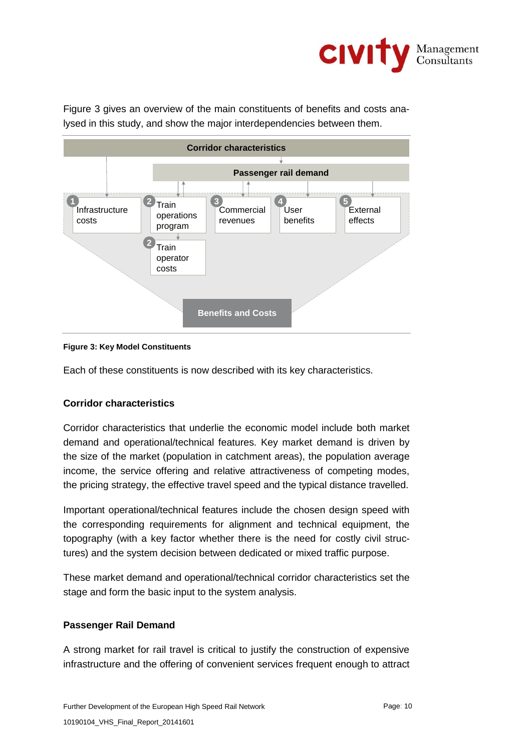

Figure 3 gives an overview of the main constituents of benefits and costs analysed in this study, and show the major interdependencies between them.



### **Figure 3: Key Model Constituents**

Each of these constituents is now described with its key characteristics.

## **Corridor characteristics**

Corridor characteristics that underlie the economic model include both market demand and operational/technical features. Key market demand is driven by the size of the market (population in catchment areas), the population average income, the service offering and relative attractiveness of competing modes, the pricing strategy, the effective travel speed and the typical distance travelled.

Important operational/technical features include the chosen design speed with the corresponding requirements for alignment and technical equipment, the topography (with a key factor whether there is the need for costly civil structures) and the system decision between dedicated or mixed traffic purpose.

These market demand and operational/technical corridor characteristics set the stage and form the basic input to the system analysis.

## **Passenger Rail Demand**

A strong market for rail travel is critical to justify the construction of expensive infrastructure and the offering of convenient services frequent enough to attract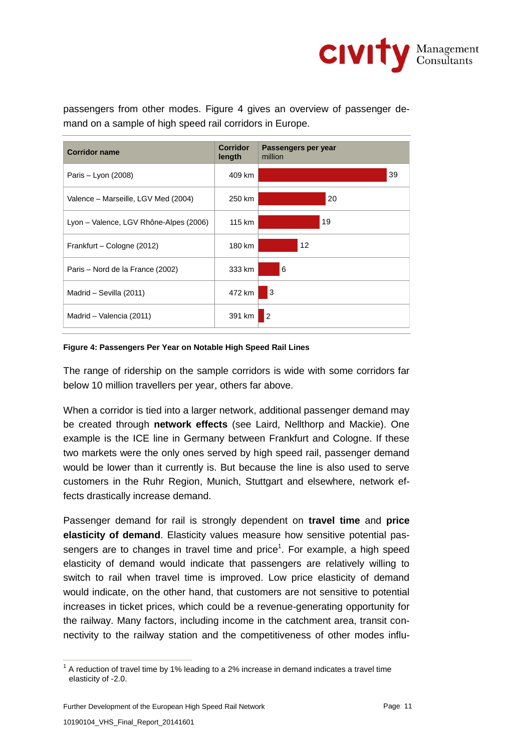

passengers from other modes. Figure 4 gives an overview of passenger demand on a sample of high speed rail corridors in Europe.



#### **Figure 4: Passengers Per Year on Notable High Speed Rail Lines**

The range of ridership on the sample corridors is wide with some corridors far below 10 million travellers per year, others far above.

When a corridor is tied into a larger network, additional passenger demand may be created through **network effects** (see Laird, Nellthorp and Mackie). One example is the ICE line in Germany between Frankfurt and Cologne. If these two markets were the only ones served by high speed rail, passenger demand would be lower than it currently is. But because the line is also used to serve customers in the Ruhr Region, Munich, Stuttgart and elsewhere, network effects drastically increase demand.

Passenger demand for rail is strongly dependent on **travel time** and **price elasticity of demand**. Elasticity values measure how sensitive potential passengers are to changes in travel time and price<sup>1</sup>. For example, a high speed elasticity of demand would indicate that passengers are relatively willing to switch to rail when travel time is improved. Low price elasticity of demand would indicate, on the other hand, that customers are not sensitive to potential increases in ticket prices, which could be a revenue-generating opportunity for the railway. Many factors, including income in the catchment area, transit connectivity to the railway station and the competitiveness of other modes influ-

Further Development of the European High Speed Rail Network **Page: 11** Page: 11

 $\overline{a}$  $1$  A reduction of travel time by 1% leading to a 2% increase in demand indicates a travel time elasticity of -2.0.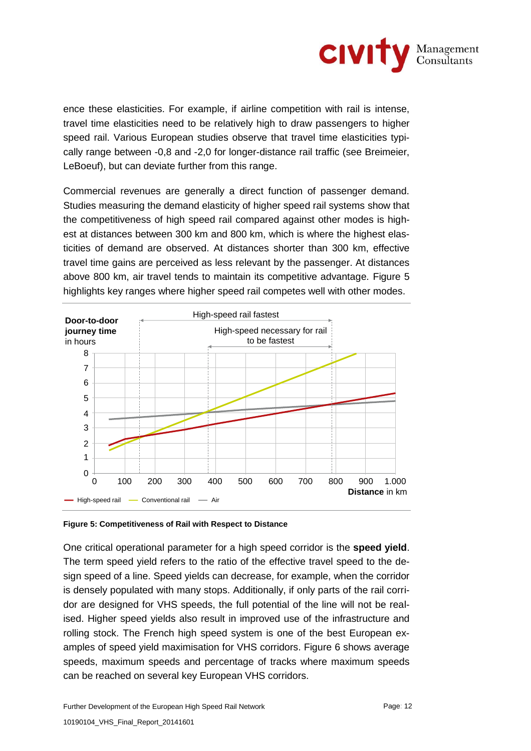

ence these elasticities. For example, if airline competition with rail is intense, travel time elasticities need to be relatively high to draw passengers to higher speed rail. Various European studies observe that travel time elasticities typically range between -0,8 and -2,0 for longer-distance rail traffic (see Breimeier, LeBoeuf), but can deviate further from this range.

Commercial revenues are generally a direct function of passenger demand. Studies measuring the demand elasticity of higher speed rail systems show that the competitiveness of high speed rail compared against other modes is highest at distances between 300 km and 800 km, which is where the highest elasticities of demand are observed. At distances shorter than 300 km, effective travel time gains are perceived as less relevant by the passenger. At distances above 800 km, air travel tends to maintain its competitive advantage. Figure 5 highlights key ranges where higher speed rail competes well with other modes.



**Figure 5: Competitiveness of Rail with Respect to Distance** 

One critical operational parameter for a high speed corridor is the **speed yield**. The term speed yield refers to the ratio of the effective travel speed to the design speed of a line. Speed yields can decrease, for example, when the corridor is densely populated with many stops. Additionally, if only parts of the rail corridor are designed for VHS speeds, the full potential of the line will not be realised. Higher speed yields also result in improved use of the infrastructure and rolling stock. The French high speed system is one of the best European examples of speed yield maximisation for VHS corridors. Figure 6 shows average speeds, maximum speeds and percentage of tracks where maximum speeds can be reached on several key European VHS corridors.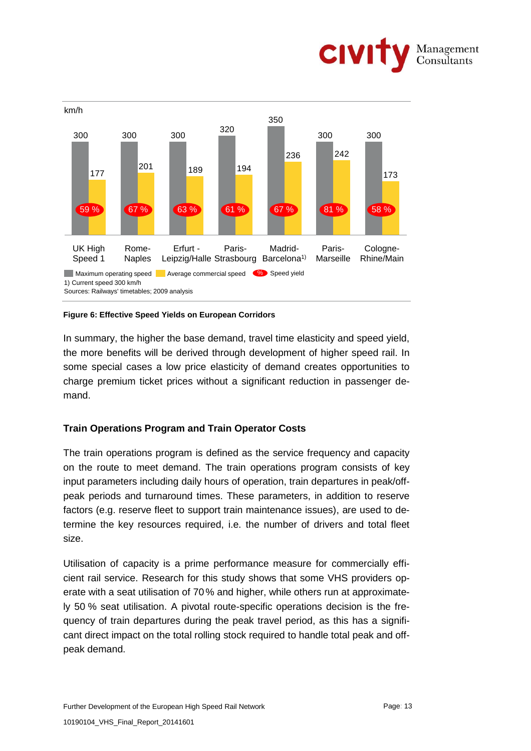



#### **Figure 6: Effective Speed Yields on European Corridors**

In summary, the higher the base demand, travel time elasticity and speed yield, the more benefits will be derived through development of higher speed rail. In some special cases a low price elasticity of demand creates opportunities to charge premium ticket prices without a significant reduction in passenger demand.

## **Train Operations Program and Train Operator Costs**

The train operations program is defined as the service frequency and capacity on the route to meet demand. The train operations program consists of key input parameters including daily hours of operation, train departures in peak/offpeak periods and turnaround times. These parameters, in addition to reserve factors (e.g. reserve fleet to support train maintenance issues), are used to determine the key resources required, i.e. the number of drivers and total fleet size.

Utilisation of capacity is a prime performance measure for commercially efficient rail service. Research for this study shows that some VHS providers operate with a seat utilisation of 70% and higher, while others run at approximately 50 % seat utilisation. A pivotal route-specific operations decision is the frequency of train departures during the peak travel period, as this has a significant direct impact on the total rolling stock required to handle total peak and offpeak demand.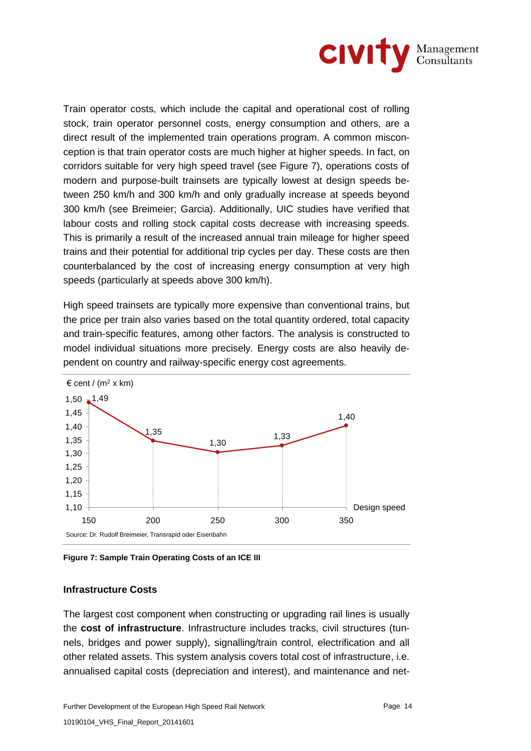

Train operator costs, which include the capital and operational cost of rolling stock, train operator personnel costs, energy consumption and others, are a direct result of the implemented train operations program. A common misconception is that train operator costs are much higher at higher speeds. In fact, on corridors suitable for very high speed travel (see Figure 7), operations costs of modern and purpose-built trainsets are typically lowest at design speeds between 250 km/h and 300 km/h and only gradually increase at speeds beyond 300 km/h (see Breimeier; Garcia). Additionally, UIC studies have verified that labour costs and rolling stock capital costs decrease with increasing speeds. This is primarily a result of the increased annual train mileage for higher speed trains and their potential for additional trip cycles per day. These costs are then counterbalanced by the cost of increasing energy consumption at very high speeds (particularly at speeds above 300 km/h).

High speed trainsets are typically more expensive than conventional trains, but the price per train also varies based on the total quantity ordered, total capacity and train-specific features, among other factors. The analysis is constructed to model individual situations more precisely. Energy costs are also heavily dependent on country and railway-specific energy cost agreements.



**Figure 7: Sample Train Operating Costs of an ICE III**

## **Infrastructure Costs**

The largest cost component when constructing or upgrading rail lines is usually the **cost of infrastructure**. Infrastructure includes tracks, civil structures (tunnels, bridges and power supply), signalling/train control, electrification and all other related assets. This system analysis covers total cost of infrastructure, i.e. annualised capital costs (depreciation and interest), and maintenance and net-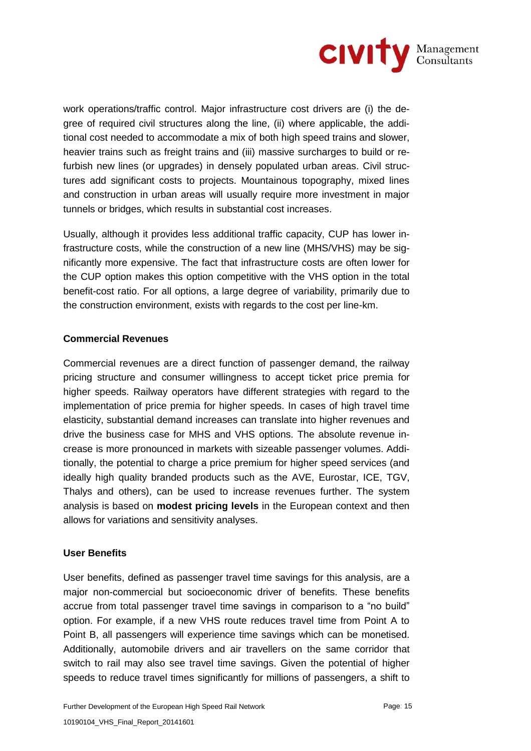

work operations/traffic control. Major infrastructure cost drivers are (i) the degree of required civil structures along the line, (ii) where applicable, the additional cost needed to accommodate a mix of both high speed trains and slower, heavier trains such as freight trains and (iii) massive surcharges to build or refurbish new lines (or upgrades) in densely populated urban areas. Civil structures add significant costs to projects. Mountainous topography, mixed lines and construction in urban areas will usually require more investment in major tunnels or bridges, which results in substantial cost increases.

Usually, although it provides less additional traffic capacity, CUP has lower infrastructure costs, while the construction of a new line (MHS/VHS) may be significantly more expensive. The fact that infrastructure costs are often lower for the CUP option makes this option competitive with the VHS option in the total benefit-cost ratio. For all options, a large degree of variability, primarily due to the construction environment, exists with regards to the cost per line-km.

## **Commercial Revenues**

Commercial revenues are a direct function of passenger demand, the railway pricing structure and consumer willingness to accept ticket price premia for higher speeds. Railway operators have different strategies with regard to the implementation of price premia for higher speeds. In cases of high travel time elasticity, substantial demand increases can translate into higher revenues and drive the business case for MHS and VHS options. The absolute revenue increase is more pronounced in markets with sizeable passenger volumes. Additionally, the potential to charge a price premium for higher speed services (and ideally high quality branded products such as the AVE, Eurostar, ICE, TGV, Thalys and others), can be used to increase revenues further. The system analysis is based on **modest pricing levels** in the European context and then allows for variations and sensitivity analyses.

#### **User Benefits**

User benefits, defined as passenger travel time savings for this analysis, are a major non-commercial but socioeconomic driver of benefits. These benefits accrue from total passenger travel time savings in comparison to a "no build" option. For example, if a new VHS route reduces travel time from Point A to Point B, all passengers will experience time savings which can be monetised. Additionally, automobile drivers and air travellers on the same corridor that switch to rail may also see travel time savings. Given the potential of higher speeds to reduce travel times significantly for millions of passengers, a shift to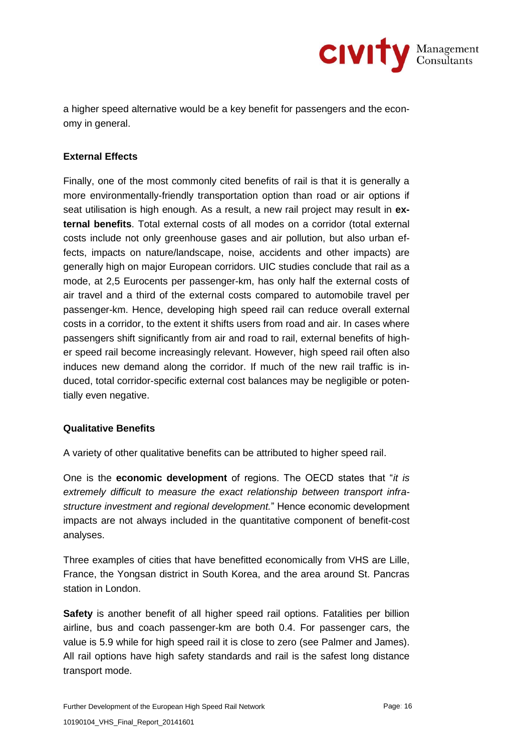

a higher speed alternative would be a key benefit for passengers and the economy in general.

## **External Effects**

Finally, one of the most commonly cited benefits of rail is that it is generally a more environmentally-friendly transportation option than road or air options if seat utilisation is high enough. As a result, a new rail project may result in **external benefits**. Total external costs of all modes on a corridor (total external costs include not only greenhouse gases and air pollution, but also urban effects, impacts on nature/landscape, noise, accidents and other impacts) are generally high on major European corridors. UIC studies conclude that rail as a mode, at 2,5 Eurocents per passenger-km, has only half the external costs of air travel and a third of the external costs compared to automobile travel per passenger-km. Hence, developing high speed rail can reduce overall external costs in a corridor, to the extent it shifts users from road and air. In cases where passengers shift significantly from air and road to rail, external benefits of higher speed rail become increasingly relevant. However, high speed rail often also induces new demand along the corridor. If much of the new rail traffic is induced, total corridor-specific external cost balances may be negligible or potentially even negative.

## **Qualitative Benefits**

A variety of other qualitative benefits can be attributed to higher speed rail.

One is the **economic development** of regions. The OECD states that "*it is extremely difficult to measure the exact relationship between transport infrastructure investment and regional development.*" Hence economic development impacts are not always included in the quantitative component of benefit-cost analyses.

Three examples of cities that have benefitted economically from VHS are Lille, France, the Yongsan district in South Korea, and the area around St. Pancras station in London.

**Safety** is another benefit of all higher speed rail options. Fatalities per billion airline, bus and coach passenger-km are both 0.4. For passenger cars, the value is 5.9 while for high speed rail it is close to zero (see Palmer and James). All rail options have high safety standards and rail is the safest long distance transport mode.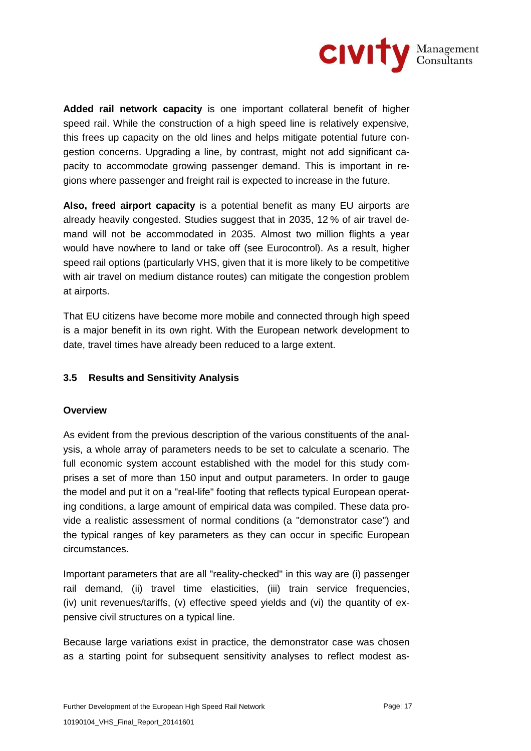

**Added rail network capacity** is one important collateral benefit of higher speed rail. While the construction of a high speed line is relatively expensive, this frees up capacity on the old lines and helps mitigate potential future congestion concerns. Upgrading a line, by contrast, might not add significant capacity to accommodate growing passenger demand. This is important in regions where passenger and freight rail is expected to increase in the future.

**Also, freed airport capacity** is a potential benefit as many EU airports are already heavily congested. Studies suggest that in 2035, 12 % of air travel demand will not be accommodated in 2035. Almost two million flights a year would have nowhere to land or take off (see Eurocontrol). As a result, higher speed rail options (particularly VHS, given that it is more likely to be competitive with air travel on medium distance routes) can mitigate the congestion problem at airports.

That EU citizens have become more mobile and connected through high speed is a major benefit in its own right. With the European network development to date, travel times have already been reduced to a large extent.

## **3.5 Results and Sensitivity Analysis**

## **Overview**

As evident from the previous description of the various constituents of the analysis, a whole array of parameters needs to be set to calculate a scenario. The full economic system account established with the model for this study comprises a set of more than 150 input and output parameters. In order to gauge the model and put it on a "real-life" footing that reflects typical European operating conditions, a large amount of empirical data was compiled. These data provide a realistic assessment of normal conditions (a "demonstrator case") and the typical ranges of key parameters as they can occur in specific European circumstances.

Important parameters that are all "reality-checked" in this way are (i) passenger rail demand, (ii) travel time elasticities, (iii) train service frequencies, (iv) unit revenues/tariffs, (v) effective speed yields and (vi) the quantity of expensive civil structures on a typical line.

Because large variations exist in practice, the demonstrator case was chosen as a starting point for subsequent sensitivity analyses to reflect modest as-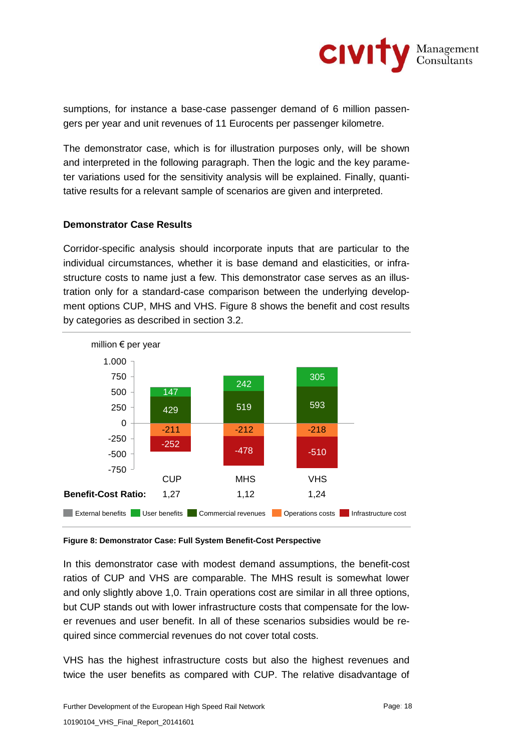

sumptions, for instance a base-case passenger demand of 6 million passengers per year and unit revenues of 11 Eurocents per passenger kilometre.

The demonstrator case, which is for illustration purposes only, will be shown and interpreted in the following paragraph. Then the logic and the key parameter variations used for the sensitivity analysis will be explained. Finally, quantitative results for a relevant sample of scenarios are given and interpreted.

#### **Demonstrator Case Results**

Corridor-specific analysis should incorporate inputs that are particular to the individual circumstances, whether it is base demand and elasticities, or infrastructure costs to name just a few. This demonstrator case serves as an illustration only for a standard-case comparison between the underlying development options CUP, MHS and VHS. Figure 8 shows the benefit and cost results by categories as described in section 3.2.



#### **Figure 8: Demonstrator Case: Full System Benefit-Cost Perspective**

In this demonstrator case with modest demand assumptions, the benefit-cost ratios of CUP and VHS are comparable. The MHS result is somewhat lower and only slightly above 1,0. Train operations cost are similar in all three options, but CUP stands out with lower infrastructure costs that compensate for the lower revenues and user benefit. In all of these scenarios subsidies would be required since commercial revenues do not cover total costs.

VHS has the highest infrastructure costs but also the highest revenues and twice the user benefits as compared with CUP. The relative disadvantage of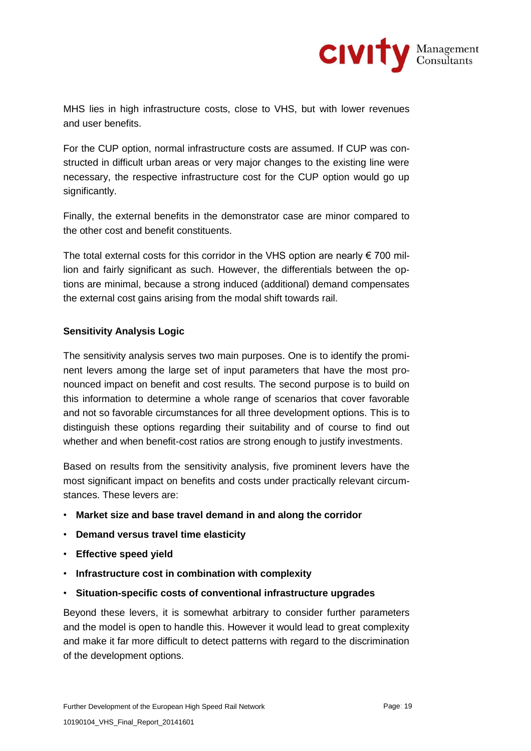

MHS lies in high infrastructure costs, close to VHS, but with lower revenues and user benefits.

For the CUP option, normal infrastructure costs are assumed. If CUP was constructed in difficult urban areas or very major changes to the existing line were necessary, the respective infrastructure cost for the CUP option would go up significantly.

Finally, the external benefits in the demonstrator case are minor compared to the other cost and benefit constituents.

The total external costs for this corridor in the VHS option are nearly  $\epsilon$  700 million and fairly significant as such. However, the differentials between the options are minimal, because a strong induced (additional) demand compensates the external cost gains arising from the modal shift towards rail.

## **Sensitivity Analysis Logic**

The sensitivity analysis serves two main purposes. One is to identify the prominent levers among the large set of input parameters that have the most pronounced impact on benefit and cost results. The second purpose is to build on this information to determine a whole range of scenarios that cover favorable and not so favorable circumstances for all three development options. This is to distinguish these options regarding their suitability and of course to find out whether and when benefit-cost ratios are strong enough to justify investments.

Based on results from the sensitivity analysis, five prominent levers have the most significant impact on benefits and costs under practically relevant circumstances. These levers are:

- **Market size and base travel demand in and along the corridor**
- **Demand versus travel time elasticity**
- **Effective speed yield**
- **Infrastructure cost in combination with complexity**
- **Situation-specific costs of conventional infrastructure upgrades**

Beyond these levers, it is somewhat arbitrary to consider further parameters and the model is open to handle this. However it would lead to great complexity and make it far more difficult to detect patterns with regard to the discrimination of the development options.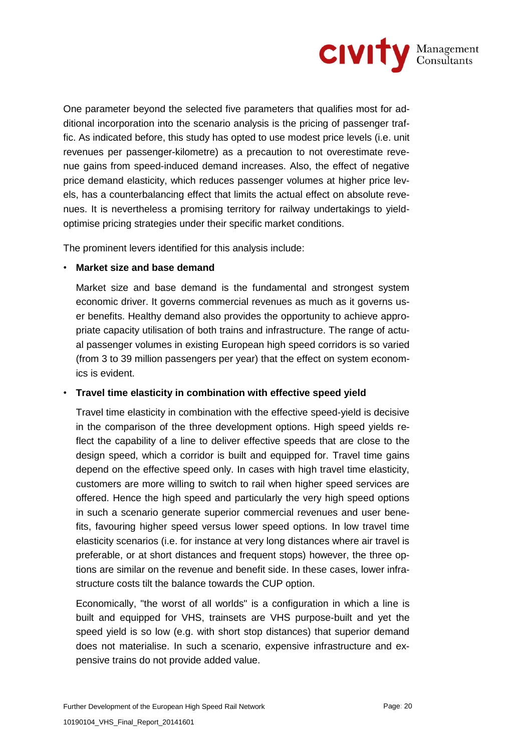

One parameter beyond the selected five parameters that qualifies most for additional incorporation into the scenario analysis is the pricing of passenger traffic. As indicated before, this study has opted to use modest price levels (i.e. unit revenues per passenger-kilometre) as a precaution to not overestimate revenue gains from speed-induced demand increases. Also, the effect of negative price demand elasticity, which reduces passenger volumes at higher price levels, has a counterbalancing effect that limits the actual effect on absolute revenues. It is nevertheless a promising territory for railway undertakings to yieldoptimise pricing strategies under their specific market conditions.

The prominent levers identified for this analysis include:

## • **Market size and base demand**

Market size and base demand is the fundamental and strongest system economic driver. It governs commercial revenues as much as it governs user benefits. Healthy demand also provides the opportunity to achieve appropriate capacity utilisation of both trains and infrastructure. The range of actual passenger volumes in existing European high speed corridors is so varied (from 3 to 39 million passengers per year) that the effect on system economics is evident.

## • **Travel time elasticity in combination with effective speed yield**

Travel time elasticity in combination with the effective speed-yield is decisive in the comparison of the three development options. High speed yields reflect the capability of a line to deliver effective speeds that are close to the design speed, which a corridor is built and equipped for. Travel time gains depend on the effective speed only. In cases with high travel time elasticity, customers are more willing to switch to rail when higher speed services are offered. Hence the high speed and particularly the very high speed options in such a scenario generate superior commercial revenues and user benefits, favouring higher speed versus lower speed options. In low travel time elasticity scenarios (i.e. for instance at very long distances where air travel is preferable, or at short distances and frequent stops) however, the three options are similar on the revenue and benefit side. In these cases, lower infrastructure costs tilt the balance towards the CUP option.

Economically, "the worst of all worlds" is a configuration in which a line is built and equipped for VHS, trainsets are VHS purpose-built and yet the speed yield is so low (e.g. with short stop distances) that superior demand does not materialise. In such a scenario, expensive infrastructure and expensive trains do not provide added value.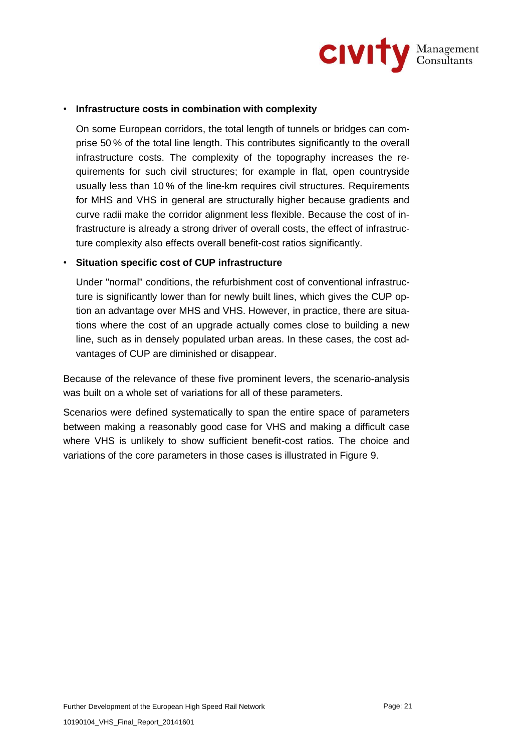

### • **Infrastructure costs in combination with complexity**

On some European corridors, the total length of tunnels or bridges can comprise 50 % of the total line length. This contributes significantly to the overall infrastructure costs. The complexity of the topography increases the requirements for such civil structures; for example in flat, open countryside usually less than 10 % of the line-km requires civil structures. Requirements for MHS and VHS in general are structurally higher because gradients and curve radii make the corridor alignment less flexible. Because the cost of infrastructure is already a strong driver of overall costs, the effect of infrastructure complexity also effects overall benefit-cost ratios significantly.

### • **Situation specific cost of CUP infrastructure**

Under "normal" conditions, the refurbishment cost of conventional infrastructure is significantly lower than for newly built lines, which gives the CUP option an advantage over MHS and VHS. However, in practice, there are situations where the cost of an upgrade actually comes close to building a new line, such as in densely populated urban areas. In these cases, the cost advantages of CUP are diminished or disappear.

Because of the relevance of these five prominent levers, the scenario-analysis was built on a whole set of variations for all of these parameters.

Scenarios were defined systematically to span the entire space of parameters between making a reasonably good case for VHS and making a difficult case where VHS is unlikely to show sufficient benefit-cost ratios. The choice and variations of the core parameters in those cases is illustrated in Figure 9.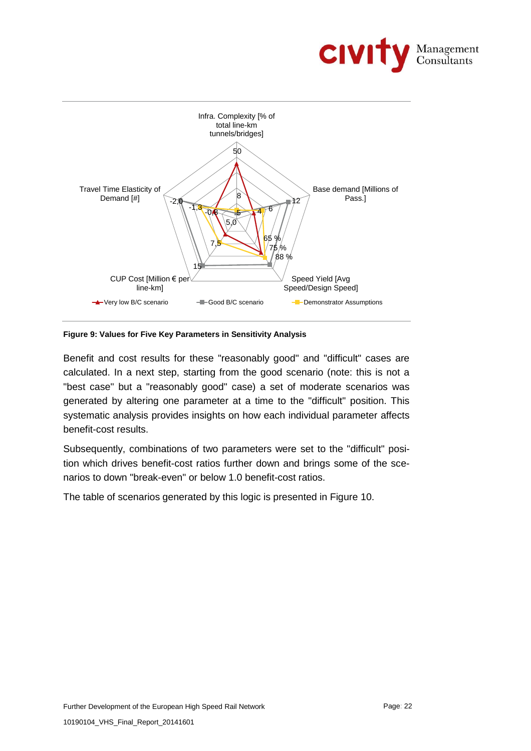



**Figure 9: Values for Five Key Parameters in Sensitivity Analysis**

Benefit and cost results for these "reasonably good" and "difficult" cases are calculated. In a next step, starting from the good scenario (note: this is not a "best case" but a "reasonably good" case) a set of moderate scenarios was generated by altering one parameter at a time to the "difficult" position. This systematic analysis provides insights on how each individual parameter affects benefit-cost results.

Subsequently, combinations of two parameters were set to the "difficult" position which drives benefit-cost ratios further down and brings some of the scenarios to down "break-even" or below 1.0 benefit-cost ratios.

The table of scenarios generated by this logic is presented in Figure 10.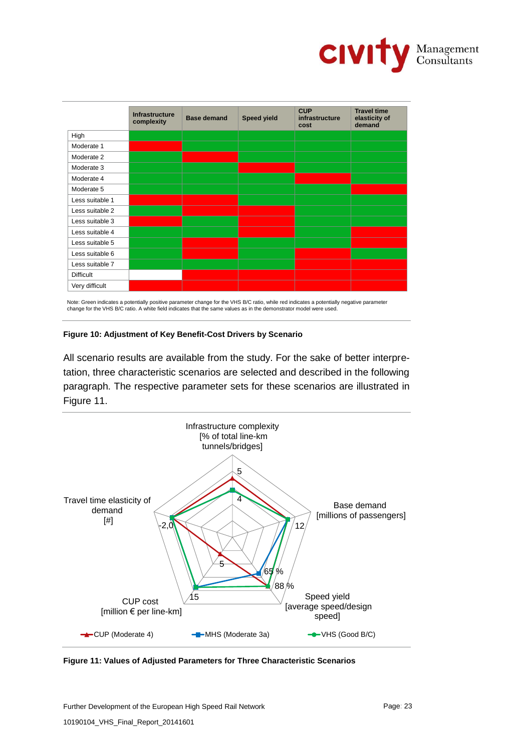

|                  | <b>Infrastructure</b><br>complexity | <b>Base demand</b> | <b>Speed yield</b> | <b>CUP</b><br>infrastructure<br>cost | <b>Travel time</b><br>elasticity of<br>demand |
|------------------|-------------------------------------|--------------------|--------------------|--------------------------------------|-----------------------------------------------|
| High             |                                     |                    |                    |                                      |                                               |
| Moderate 1       |                                     |                    |                    |                                      |                                               |
| Moderate 2       |                                     |                    |                    |                                      |                                               |
| Moderate 3       |                                     |                    |                    |                                      |                                               |
| Moderate 4       |                                     |                    |                    |                                      |                                               |
| Moderate 5       |                                     |                    |                    |                                      |                                               |
| Less suitable 1  |                                     |                    |                    |                                      |                                               |
| Less suitable 2  |                                     |                    |                    |                                      |                                               |
| Less suitable 3  |                                     |                    |                    |                                      |                                               |
| Less suitable 4  |                                     |                    |                    |                                      |                                               |
| Less suitable 5  |                                     |                    |                    |                                      |                                               |
| Less suitable 6  |                                     |                    |                    |                                      |                                               |
| Less suitable 7  |                                     |                    |                    |                                      |                                               |
| <b>Difficult</b> |                                     |                    |                    |                                      |                                               |
| Very difficult   |                                     |                    |                    |                                      |                                               |

Note: Green indicates a potentially positive parameter change for the VHS B/C ratio, while red indicates a potentially negative parameter change for the VHS B/C ratio. A white field indicates that the same values as in the demonstrator model were used.

### **Figure 10: Adjustment of Key Benefit-Cost Drivers by Scenario**

All scenario results are available from the study. For the sake of better interpretation, three characteristic scenarios are selected and described in the following paragraph. The respective parameter sets for these scenarios are illustrated in Figure 11.



**Figure 11: Values of Adjusted Parameters for Three Characteristic Scenarios**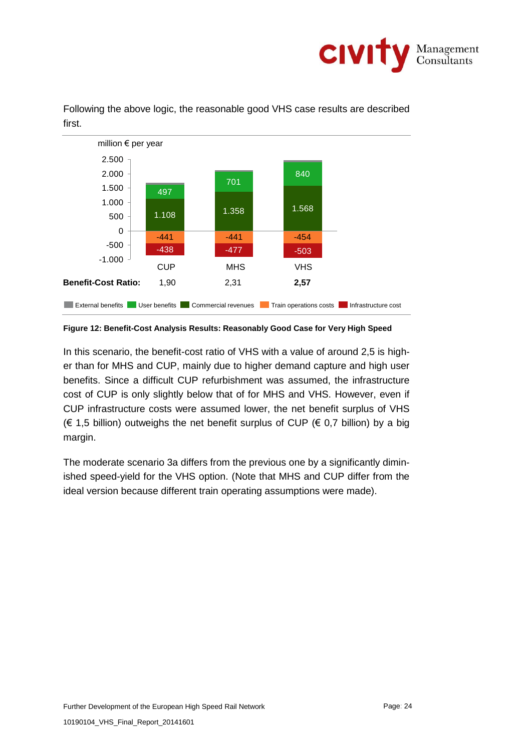



Following the above logic, the reasonable good VHS case results are described first.

**Figure 12: Benefit-Cost Analysis Results: Reasonably Good Case for Very High Speed**

In this scenario, the benefit-cost ratio of VHS with a value of around 2,5 is higher than for MHS and CUP, mainly due to higher demand capture and high user benefits. Since a difficult CUP refurbishment was assumed, the infrastructure cost of CUP is only slightly below that of for MHS and VHS. However, even if CUP infrastructure costs were assumed lower, the net benefit surplus of VHS (€ 1,5 billion) outweighs the net benefit surplus of CUP (€ 0,7 billion) by a big margin.

The moderate scenario 3a differs from the previous one by a significantly diminished speed-yield for the VHS option. (Note that MHS and CUP differ from the ideal version because different train operating assumptions were made).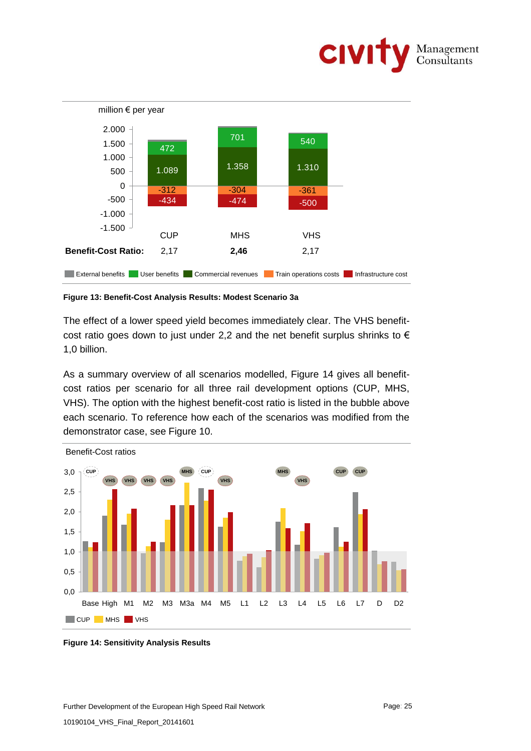



**Figure 13: Benefit-Cost Analysis Results: Modest Scenario 3a** 

The effect of a lower speed yield becomes immediately clear. The VHS benefitcost ratio goes down to just under 2,2 and the net benefit surplus shrinks to  $\epsilon$ 1,0 billion.

As a summary overview of all scenarios modelled, Figure 14 gives all benefitcost ratios per scenario for all three rail development options (CUP, MHS, VHS). The option with the highest benefit-cost ratio is listed in the bubble above each scenario. To reference how each of the scenarios was modified from the demonstrator case, see Figure 10.



**Figure 14: Sensitivity Analysis Results**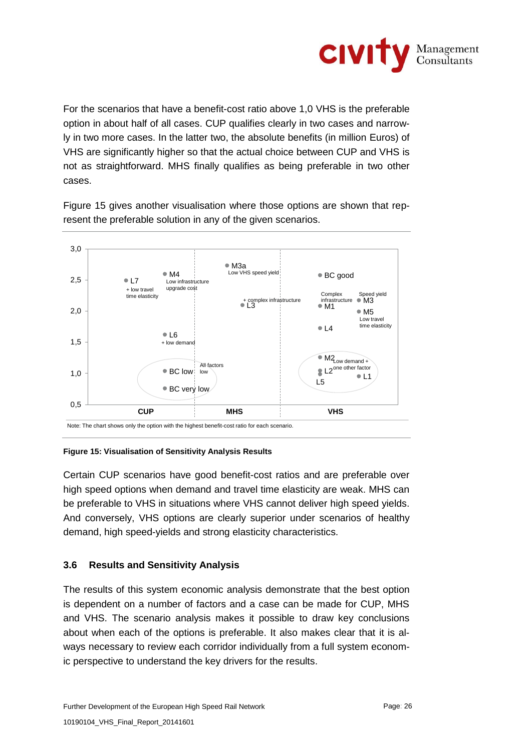

For the scenarios that have a benefit-cost ratio above 1,0 VHS is the preferable option in about half of all cases. CUP qualifies clearly in two cases and narrowly in two more cases. In the latter two, the absolute benefits (in million Euros) of VHS are significantly higher so that the actual choice between CUP and VHS is not as straightforward. MHS finally qualifies as being preferable in two other cases.

Figure 15 gives another visualisation where those options are shown that represent the preferable solution in any of the given scenarios.



Note: The chart shows only the option with the highest benefit-cost ratio for each scenario.

#### **Figure 15: Visualisation of Sensitivity Analysis Results**

Certain CUP scenarios have good benefit-cost ratios and are preferable over high speed options when demand and travel time elasticity are weak. MHS can be preferable to VHS in situations where VHS cannot deliver high speed yields. And conversely, VHS options are clearly superior under scenarios of healthy demand, high speed-yields and strong elasticity characteristics.

## **3.6 Results and Sensitivity Analysis**

The results of this system economic analysis demonstrate that the best option is dependent on a number of factors and a case can be made for CUP, MHS and VHS. The scenario analysis makes it possible to draw key conclusions about when each of the options is preferable. It also makes clear that it is always necessary to review each corridor individually from a full system economic perspective to understand the key drivers for the results.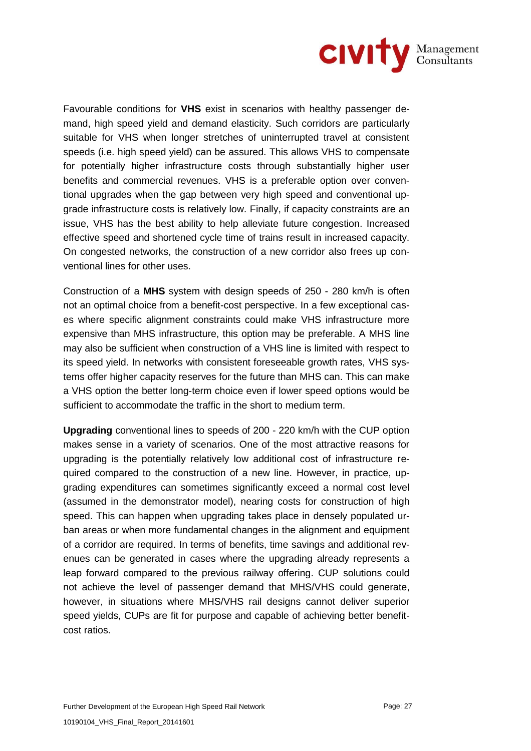

Favourable conditions for **VHS** exist in scenarios with healthy passenger demand, high speed yield and demand elasticity. Such corridors are particularly suitable for VHS when longer stretches of uninterrupted travel at consistent speeds (i.e. high speed yield) can be assured. This allows VHS to compensate for potentially higher infrastructure costs through substantially higher user benefits and commercial revenues. VHS is a preferable option over conventional upgrades when the gap between very high speed and conventional upgrade infrastructure costs is relatively low. Finally, if capacity constraints are an issue, VHS has the best ability to help alleviate future congestion. Increased effective speed and shortened cycle time of trains result in increased capacity. On congested networks, the construction of a new corridor also frees up conventional lines for other uses.

Construction of a **MHS** system with design speeds of 250 - 280 km/h is often not an optimal choice from a benefit-cost perspective. In a few exceptional cases where specific alignment constraints could make VHS infrastructure more expensive than MHS infrastructure, this option may be preferable. A MHS line may also be sufficient when construction of a VHS line is limited with respect to its speed yield. In networks with consistent foreseeable growth rates, VHS systems offer higher capacity reserves for the future than MHS can. This can make a VHS option the better long-term choice even if lower speed options would be sufficient to accommodate the traffic in the short to medium term.

**Upgrading** conventional lines to speeds of 200 - 220 km/h with the CUP option makes sense in a variety of scenarios. One of the most attractive reasons for upgrading is the potentially relatively low additional cost of infrastructure required compared to the construction of a new line. However, in practice, upgrading expenditures can sometimes significantly exceed a normal cost level (assumed in the demonstrator model), nearing costs for construction of high speed. This can happen when upgrading takes place in densely populated urban areas or when more fundamental changes in the alignment and equipment of a corridor are required. In terms of benefits, time savings and additional revenues can be generated in cases where the upgrading already represents a leap forward compared to the previous railway offering. CUP solutions could not achieve the level of passenger demand that MHS/VHS could generate, however, in situations where MHS/VHS rail designs cannot deliver superior speed yields, CUPs are fit for purpose and capable of achieving better benefitcost ratios.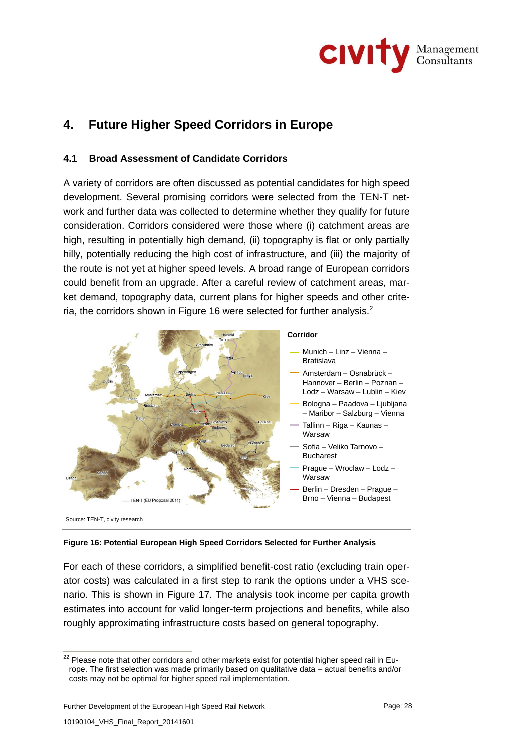

# **4. Future Higher Speed Corridors in Europe**

## **4.1 Broad Assessment of Candidate Corridors**

A variety of corridors are often discussed as potential candidates for high speed development. Several promising corridors were selected from the TEN-T network and further data was collected to determine whether they qualify for future consideration. Corridors considered were those where (i) catchment areas are high, resulting in potentially high demand, (ii) topography is flat or only partially hilly, potentially reducing the high cost of infrastructure, and (iii) the majority of the route is not yet at higher speed levels. A broad range of European corridors could benefit from an upgrade. After a careful review of catchment areas, market demand, topography data, current plans for higher speeds and other criteria, the corridors shown in Figure 16 were selected for further analysis. $<sup>2</sup>$ </sup>



#### **Figure 16: Potential European High Speed Corridors Selected for Further Analysis**

For each of these corridors, a simplified benefit-cost ratio (excluding train operator costs) was calculated in a first step to rank the options under a VHS scenario. This is shown in Figure 17. The analysis took income per capita growth estimates into account for valid longer-term projections and benefits, while also roughly approximating infrastructure costs based on general topography.

 $22$  Please note that other corridors and other markets exist for potential higher speed rail in Europe. The first selection was made primarily based on qualitative data – actual benefits and/or costs may not be optimal for higher speed rail implementation.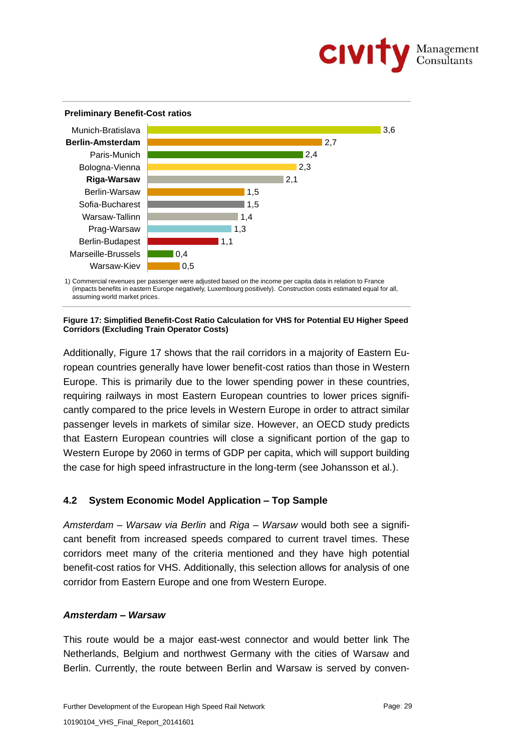

#### **Preliminary Benefit-Cost ratios**



1) Commercial revenues per passenger were adjusted based on the income per capita data in relation to France (impacts benefits in eastern Europe negatively, Luxembourg positively). Construction costs estimated equal for all, assuming world market prices.

#### **Figure 17: Simplified Benefit-Cost Ratio Calculation for VHS for Potential EU Higher Speed Corridors (Excluding Train Operator Costs)**

Additionally, Figure 17 shows that the rail corridors in a majority of Eastern European countries generally have lower benefit-cost ratios than those in Western Europe. This is primarily due to the lower spending power in these countries, requiring railways in most Eastern European countries to lower prices significantly compared to the price levels in Western Europe in order to attract similar passenger levels in markets of similar size. However, an OECD study predicts that Eastern European countries will close a significant portion of the gap to Western Europe by 2060 in terms of GDP per capita, which will support building the case for high speed infrastructure in the long-term (see Johansson et al.).

## **4.2 System Economic Model Application – Top Sample**

*Amsterdam – Warsaw via Berlin* and *Riga – Warsaw* would both see a significant benefit from increased speeds compared to current travel times. These corridors meet many of the criteria mentioned and they have high potential benefit-cost ratios for VHS. Additionally, this selection allows for analysis of one corridor from Eastern Europe and one from Western Europe.

### *Amsterdam – Warsaw*

This route would be a major east-west connector and would better link The Netherlands, Belgium and northwest Germany with the cities of Warsaw and Berlin. Currently, the route between Berlin and Warsaw is served by conven-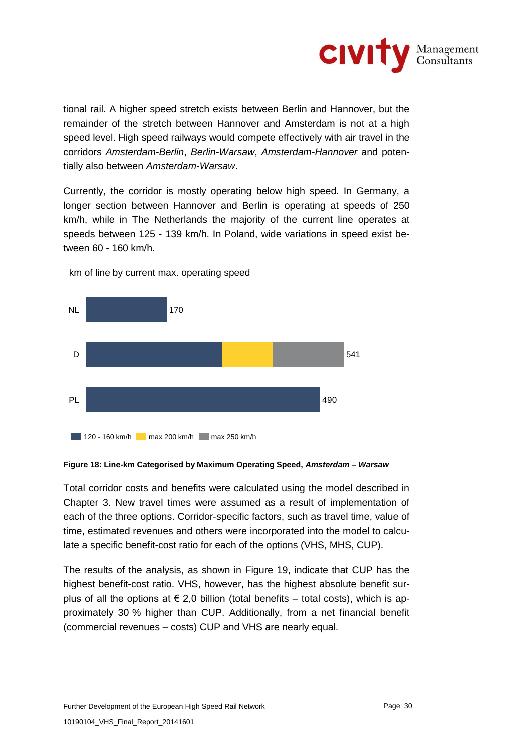

tional rail. A higher speed stretch exists between Berlin and Hannover, but the remainder of the stretch between Hannover and Amsterdam is not at a high speed level. High speed railways would compete effectively with air travel in the corridors *Amsterdam-Berlin*, *Berlin-Warsaw*, *Amsterdam-Hannover* and potentially also between *Amsterdam-Warsaw*.

Currently, the corridor is mostly operating below high speed. In Germany, a longer section between Hannover and Berlin is operating at speeds of 250 km/h, while in The Netherlands the majority of the current line operates at speeds between 125 - 139 km/h. In Poland, wide variations in speed exist between 60 - 160 km/h.



**Figure 18: Line-km Categorised by Maximum Operating Speed,** *Amsterdam – Warsaw*

Total corridor costs and benefits were calculated using the model described in Chapter 3. New travel times were assumed as a result of implementation of each of the three options. Corridor-specific factors, such as travel time, value of time, estimated revenues and others were incorporated into the model to calculate a specific benefit-cost ratio for each of the options (VHS, MHS, CUP).

The results of the analysis, as shown in Figure 19, indicate that CUP has the highest benefit-cost ratio. VHS, however, has the highest absolute benefit surplus of all the options at  $\epsilon$  2,0 billion (total benefits – total costs), which is approximately 30 % higher than CUP. Additionally, from a net financial benefit (commercial revenues – costs) CUP and VHS are nearly equal.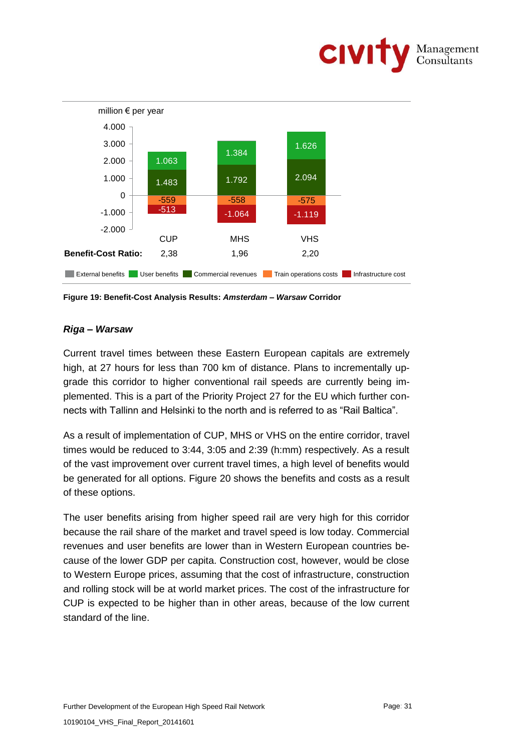



**Figure 19: Benefit-Cost Analysis Results:** *Amsterdam – Warsaw* **Corridor**

## *Riga – Warsaw*

Current travel times between these Eastern European capitals are extremely high, at 27 hours for less than 700 km of distance. Plans to incrementally upgrade this corridor to higher conventional rail speeds are currently being implemented. This is a part of the Priority Project 27 for the EU which further connects with Tallinn and Helsinki to the north and is referred to as "Rail Baltica".

As a result of implementation of CUP, MHS or VHS on the entire corridor, travel times would be reduced to 3:44, 3:05 and 2:39 (h:mm) respectively. As a result of the vast improvement over current travel times, a high level of benefits would be generated for all options. Figure 20 shows the benefits and costs as a result of these options.

The user benefits arising from higher speed rail are very high for this corridor because the rail share of the market and travel speed is low today. Commercial revenues and user benefits are lower than in Western European countries because of the lower GDP per capita. Construction cost, however, would be close to Western Europe prices, assuming that the cost of infrastructure, construction and rolling stock will be at world market prices. The cost of the infrastructure for CUP is expected to be higher than in other areas, because of the low current standard of the line.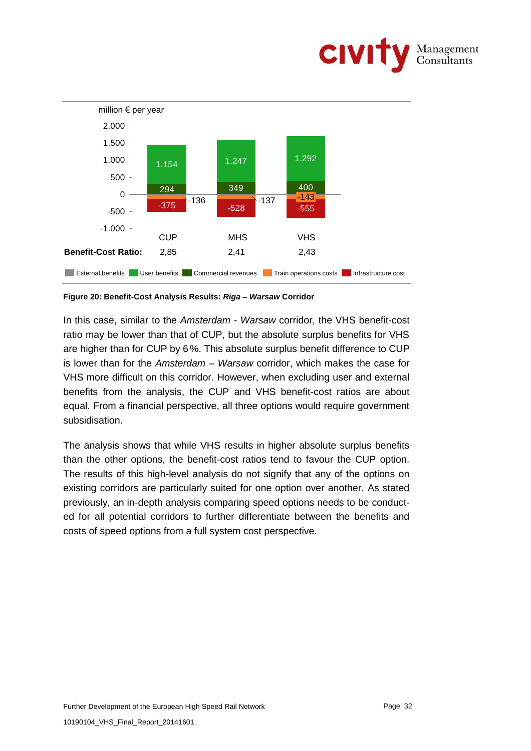



**Figure 20: Benefit-Cost Analysis Results:** *Riga – Warsaw* **Corridor** 

In this case, similar to the *Amsterdam - Warsaw* corridor, the VHS benefit-cost ratio may be lower than that of CUP, but the absolute surplus benefits for VHS are higher than for CUP by 6 %. This absolute surplus benefit difference to CUP is lower than for the *Amsterdam – Warsaw* corridor, which makes the case for VHS more difficult on this corridor. However, when excluding user and external benefits from the analysis, the CUP and VHS benefit-cost ratios are about equal. From a financial perspective, all three options would require government subsidisation.

The analysis shows that while VHS results in higher absolute surplus benefits than the other options, the benefit-cost ratios tend to favour the CUP option. The results of this high-level analysis do not signify that any of the options on existing corridors are particularly suited for one option over another. As stated previously, an in-depth analysis comparing speed options needs to be conducted for all potential corridors to further differentiate between the benefits and costs of speed options from a full system cost perspective.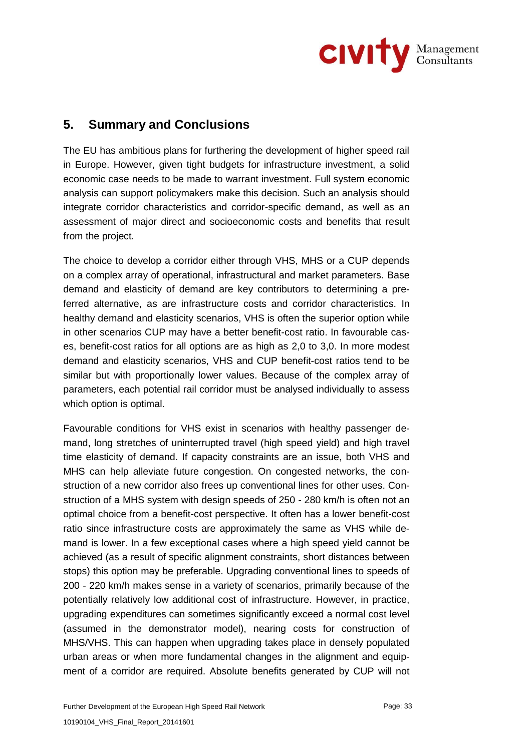

## **5. Summary and Conclusions**

The EU has ambitious plans for furthering the development of higher speed rail in Europe. However, given tight budgets for infrastructure investment, a solid economic case needs to be made to warrant investment. Full system economic analysis can support policymakers make this decision. Such an analysis should integrate corridor characteristics and corridor-specific demand, as well as an assessment of major direct and socioeconomic costs and benefits that result from the project.

The choice to develop a corridor either through VHS, MHS or a CUP depends on a complex array of operational, infrastructural and market parameters. Base demand and elasticity of demand are key contributors to determining a preferred alternative, as are infrastructure costs and corridor characteristics. In healthy demand and elasticity scenarios, VHS is often the superior option while in other scenarios CUP may have a better benefit-cost ratio. In favourable cases, benefit-cost ratios for all options are as high as 2,0 to 3,0. In more modest demand and elasticity scenarios, VHS and CUP benefit-cost ratios tend to be similar but with proportionally lower values. Because of the complex array of parameters, each potential rail corridor must be analysed individually to assess which option is optimal.

Favourable conditions for VHS exist in scenarios with healthy passenger demand, long stretches of uninterrupted travel (high speed yield) and high travel time elasticity of demand. If capacity constraints are an issue, both VHS and MHS can help alleviate future congestion. On congested networks, the construction of a new corridor also frees up conventional lines for other uses. Construction of a MHS system with design speeds of 250 - 280 km/h is often not an optimal choice from a benefit-cost perspective. It often has a lower benefit-cost ratio since infrastructure costs are approximately the same as VHS while demand is lower. In a few exceptional cases where a high speed yield cannot be achieved (as a result of specific alignment constraints, short distances between stops) this option may be preferable. Upgrading conventional lines to speeds of 200 - 220 km/h makes sense in a variety of scenarios, primarily because of the potentially relatively low additional cost of infrastructure. However, in practice, upgrading expenditures can sometimes significantly exceed a normal cost level (assumed in the demonstrator model), nearing costs for construction of MHS/VHS. This can happen when upgrading takes place in densely populated urban areas or when more fundamental changes in the alignment and equipment of a corridor are required. Absolute benefits generated by CUP will not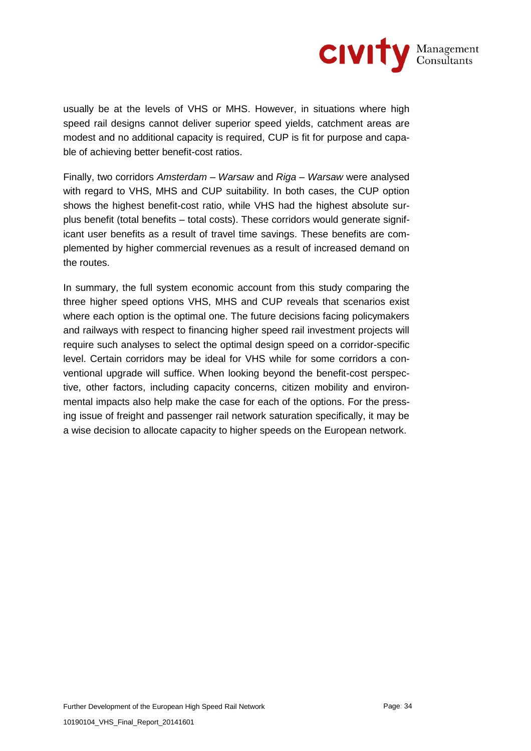

usually be at the levels of VHS or MHS. However, in situations where high speed rail designs cannot deliver superior speed yields, catchment areas are modest and no additional capacity is required, CUP is fit for purpose and capable of achieving better benefit-cost ratios.

Finally, two corridors *Amsterdam – Warsaw* and *Riga – Warsaw* were analysed with regard to VHS, MHS and CUP suitability. In both cases, the CUP option shows the highest benefit-cost ratio, while VHS had the highest absolute surplus benefit (total benefits – total costs). These corridors would generate significant user benefits as a result of travel time savings. These benefits are complemented by higher commercial revenues as a result of increased demand on the routes.

In summary, the full system economic account from this study comparing the three higher speed options VHS, MHS and CUP reveals that scenarios exist where each option is the optimal one. The future decisions facing policymakers and railways with respect to financing higher speed rail investment projects will require such analyses to select the optimal design speed on a corridor-specific level. Certain corridors may be ideal for VHS while for some corridors a conventional upgrade will suffice. When looking beyond the benefit-cost perspective, other factors, including capacity concerns, citizen mobility and environmental impacts also help make the case for each of the options. For the pressing issue of freight and passenger rail network saturation specifically, it may be a wise decision to allocate capacity to higher speeds on the European network.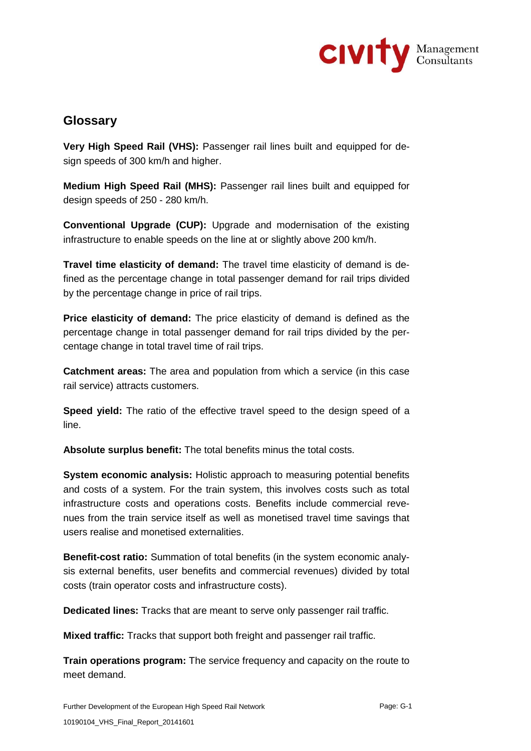

## **Glossary**

**Very High Speed Rail (VHS):** Passenger rail lines built and equipped for design speeds of 300 km/h and higher.

**Medium High Speed Rail (MHS):** Passenger rail lines built and equipped for design speeds of 250 - 280 km/h.

**Conventional Upgrade (CUP):** Upgrade and modernisation of the existing infrastructure to enable speeds on the line at or slightly above 200 km/h.

**Travel time elasticity of demand:** The travel time elasticity of demand is defined as the percentage change in total passenger demand for rail trips divided by the percentage change in price of rail trips.

**Price elasticity of demand:** The price elasticity of demand is defined as the percentage change in total passenger demand for rail trips divided by the percentage change in total travel time of rail trips.

**Catchment areas:** The area and population from which a service (in this case rail service) attracts customers.

**Speed yield:** The ratio of the effective travel speed to the design speed of a line.

**Absolute surplus benefit:** The total benefits minus the total costs.

**System economic analysis:** Holistic approach to measuring potential benefits and costs of a system. For the train system, this involves costs such as total infrastructure costs and operations costs. Benefits include commercial revenues from the train service itself as well as monetised travel time savings that users realise and monetised externalities.

**Benefit-cost ratio:** Summation of total benefits (in the system economic analysis external benefits, user benefits and commercial revenues) divided by total costs (train operator costs and infrastructure costs).

**Dedicated lines:** Tracks that are meant to serve only passenger rail traffic.

**Mixed traffic:** Tracks that support both freight and passenger rail traffic.

**Train operations program:** The service frequency and capacity on the route to meet demand.

Further Development of the European High Speed Rail Network **Page: G-1** Page: G-1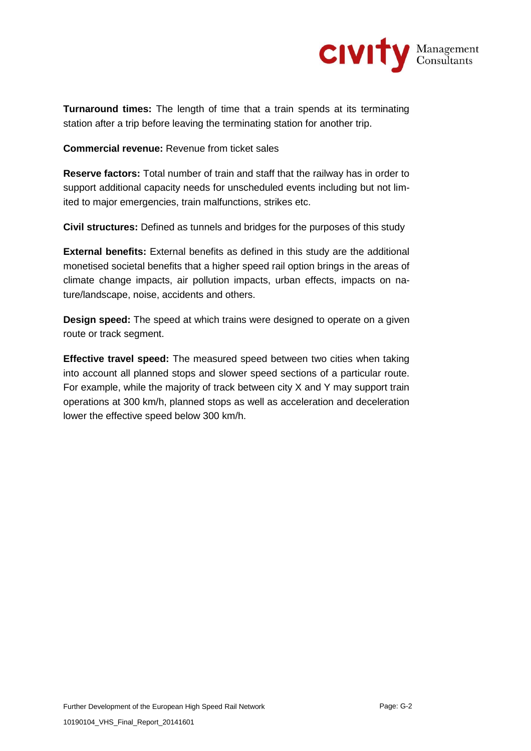

**Turnaround times:** The length of time that a train spends at its terminating station after a trip before leaving the terminating station for another trip.

**Commercial revenue:** Revenue from ticket sales

**Reserve factors:** Total number of train and staff that the railway has in order to support additional capacity needs for unscheduled events including but not limited to major emergencies, train malfunctions, strikes etc.

**Civil structures:** Defined as tunnels and bridges for the purposes of this study

**External benefits:** External benefits as defined in this study are the additional monetised societal benefits that a higher speed rail option brings in the areas of climate change impacts, air pollution impacts, urban effects, impacts on nature/landscape, noise, accidents and others.

**Design speed:** The speed at which trains were designed to operate on a given route or track segment.

**Effective travel speed:** The measured speed between two cities when taking into account all planned stops and slower speed sections of a particular route. For example, while the majority of track between city X and Y may support train operations at 300 km/h, planned stops as well as acceleration and deceleration lower the effective speed below 300 km/h.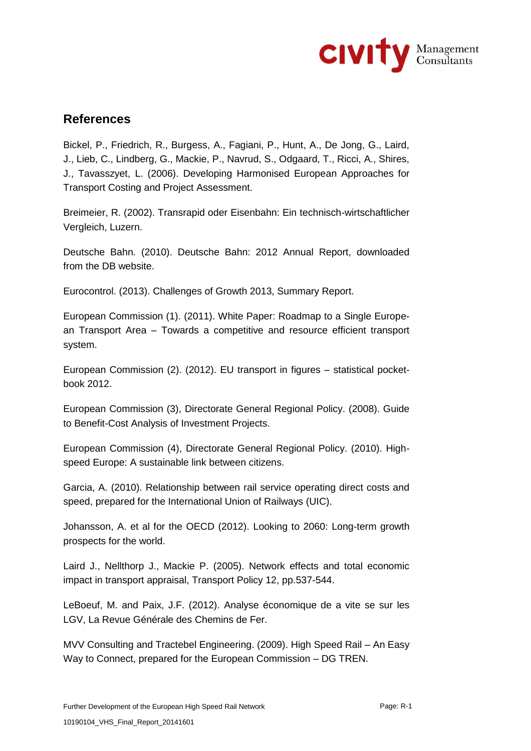

## **References**

Bickel, P., Friedrich, R., Burgess, A., Fagiani, P., Hunt, A., De Jong, G., Laird, J., Lieb, C., Lindberg, G., Mackie, P., Navrud, S., Odgaard, T., Ricci, A., Shires, J., Tavasszyet, L. (2006). Developing Harmonised European Approaches for Transport Costing and Project Assessment.

Breimeier, R. (2002). Transrapid oder Eisenbahn: Ein technisch-wirtschaftlicher Vergleich, Luzern.

Deutsche Bahn. (2010). Deutsche Bahn: 2012 Annual Report, downloaded from the DB website.

Eurocontrol. (2013). Challenges of Growth 2013, Summary Report.

European Commission (1). (2011). White Paper: Roadmap to a Single European Transport Area – Towards a competitive and resource efficient transport system.

European Commission (2). (2012). EU transport in figures – statistical pocketbook 2012.

European Commission (3), Directorate General Regional Policy. (2008). Guide to Benefit-Cost Analysis of Investment Projects.

European Commission (4), Directorate General Regional Policy. (2010). Highspeed Europe: A sustainable link between citizens.

Garcia, A. (2010). Relationship between rail service operating direct costs and speed, prepared for the International Union of Railways (UIC).

Johansson, A. et al for the OECD (2012). Looking to 2060: Long-term growth prospects for the world.

Laird J., Nellthorp J., Mackie P. (2005). Network effects and total economic impact in transport appraisal, Transport Policy 12, pp.537-544.

LeBoeuf, M. and Paix, J.F. (2012). Analyse économique de a vite se sur les LGV, La Revue Générale des Chemins de Fer.

MVV Consulting and Tractebel Engineering. (2009). High Speed Rail – An Easy Way to Connect, prepared for the European Commission – DG TREN.